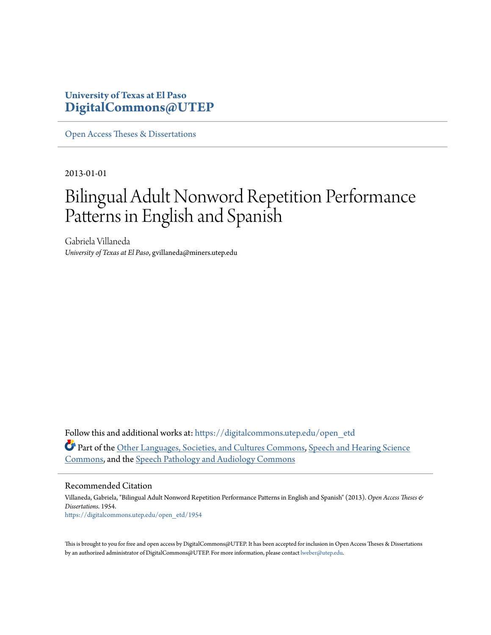### **University of Texas at El Paso [DigitalCommons@UTEP](https://digitalcommons.utep.edu/?utm_source=digitalcommons.utep.edu%2Fopen_etd%2F1954&utm_medium=PDF&utm_campaign=PDFCoverPages)**

[Open Access Theses & Dissertations](https://digitalcommons.utep.edu/open_etd?utm_source=digitalcommons.utep.edu%2Fopen_etd%2F1954&utm_medium=PDF&utm_campaign=PDFCoverPages)

2013-01-01

# Bilingual Adult Nonword Repetition Performance Patterns in English and Spanish

Gabriela Villaneda *University of Texas at El Paso*, gvillaneda@miners.utep.edu

Follow this and additional works at: [https://digitalcommons.utep.edu/open\\_etd](https://digitalcommons.utep.edu/open_etd?utm_source=digitalcommons.utep.edu%2Fopen_etd%2F1954&utm_medium=PDF&utm_campaign=PDFCoverPages) Part of the [Other Languages, Societies, and Cultures Commons](http://network.bepress.com/hgg/discipline/475?utm_source=digitalcommons.utep.edu%2Fopen_etd%2F1954&utm_medium=PDF&utm_campaign=PDFCoverPages), [Speech and Hearing Science](http://network.bepress.com/hgg/discipline/1033?utm_source=digitalcommons.utep.edu%2Fopen_etd%2F1954&utm_medium=PDF&utm_campaign=PDFCoverPages) [Commons,](http://network.bepress.com/hgg/discipline/1033?utm_source=digitalcommons.utep.edu%2Fopen_etd%2F1954&utm_medium=PDF&utm_campaign=PDFCoverPages) and the [Speech Pathology and Audiology Commons](http://network.bepress.com/hgg/discipline/1035?utm_source=digitalcommons.utep.edu%2Fopen_etd%2F1954&utm_medium=PDF&utm_campaign=PDFCoverPages)

#### Recommended Citation

Villaneda, Gabriela, "Bilingual Adult Nonword Repetition Performance Patterns in English and Spanish" (2013). *Open Access Theses & Dissertations*. 1954. [https://digitalcommons.utep.edu/open\\_etd/1954](https://digitalcommons.utep.edu/open_etd/1954?utm_source=digitalcommons.utep.edu%2Fopen_etd%2F1954&utm_medium=PDF&utm_campaign=PDFCoverPages)

This is brought to you for free and open access by DigitalCommons@UTEP. It has been accepted for inclusion in Open Access Theses & Dissertations by an authorized administrator of DigitalCommons@UTEP. For more information, please contact [lweber@utep.edu.](mailto:lweber@utep.edu)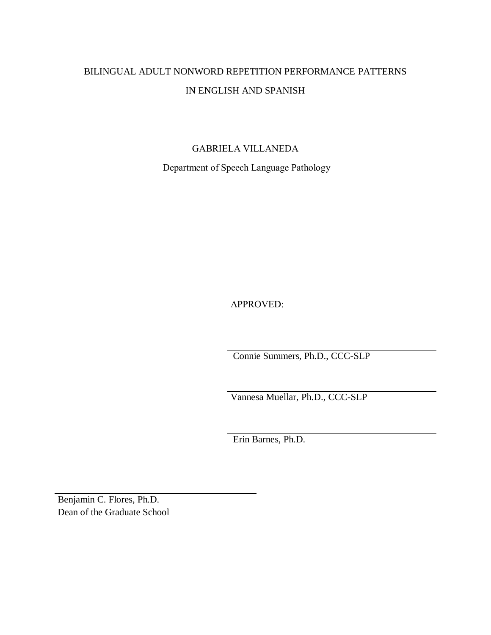# BILINGUAL ADULT NONWORD REPETITION PERFORMANCE PATTERNS IN ENGLISH AND SPANISH

### GABRIELA VILLANEDA

Department of Speech Language Pathology

APPROVED:

Connie Summers, Ph.D., CCC-SLP

Vannesa Muellar, Ph.D., CCC-SLP

Erin Barnes, Ph.D.

Benjamin C. Flores, Ph.D. Dean of the Graduate School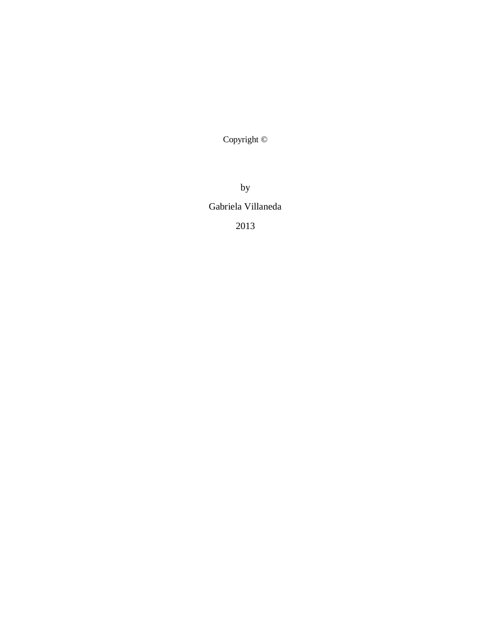Copyright ©

by Gabriela Villaneda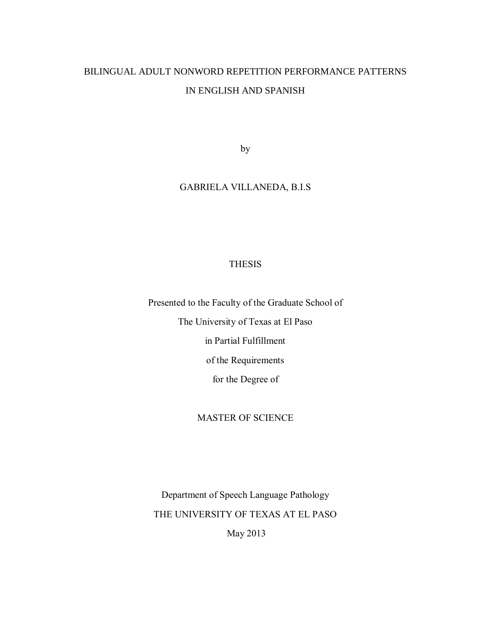## BILINGUAL ADULT NONWORD REPETITION PERFORMANCE PATTERNS IN ENGLISH AND SPANISH

by

### GABRIELA VILLANEDA, B.I.S

### THESIS

Presented to the Faculty of the Graduate School of

The University of Texas at El Paso

in Partial Fulfillment

of the Requirements

for the Degree of

### MASTER OF SCIENCE

Department of Speech Language Pathology THE UNIVERSITY OF TEXAS AT EL PASO

May 2013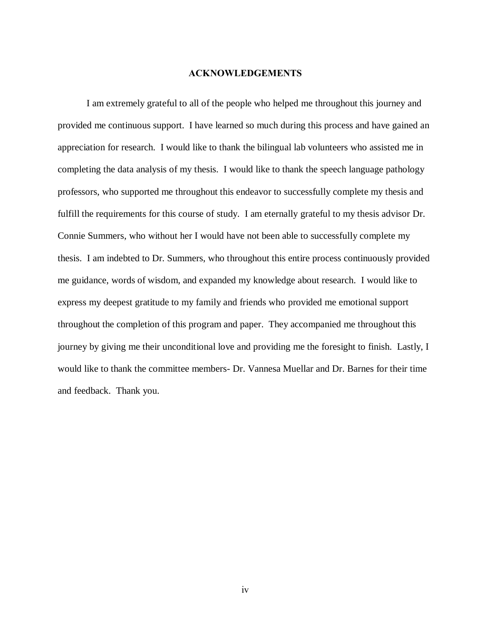### **ACKNOWLEDGEMENTS**

I am extremely grateful to all of the people who helped me throughout this journey and provided me continuous support. I have learned so much during this process and have gained an appreciation for research. I would like to thank the bilingual lab volunteers who assisted me in completing the data analysis of my thesis. I would like to thank the speech language pathology professors, who supported me throughout this endeavor to successfully complete my thesis and fulfill the requirements for this course of study. I am eternally grateful to my thesis advisor Dr. Connie Summers, who without her I would have not been able to successfully complete my thesis. I am indebted to Dr. Summers, who throughout this entire process continuously provided me guidance, words of wisdom, and expanded my knowledge about research. I would like to express my deepest gratitude to my family and friends who provided me emotional support throughout the completion of this program and paper. They accompanied me throughout this journey by giving me their unconditional love and providing me the foresight to finish. Lastly, I would like to thank the committee members- Dr. Vannesa Muellar and Dr. Barnes for their time and feedback. Thank you.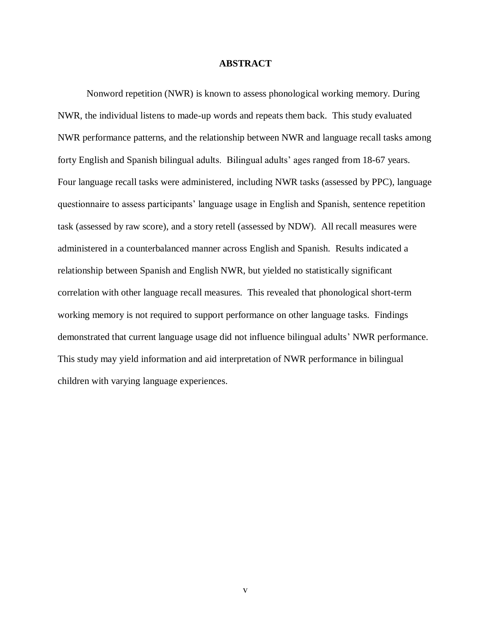### **ABSTRACT**

Nonword repetition (NWR) is known to assess phonological working memory. During NWR, the individual listens to made-up words and repeats them back. This study evaluated NWR performance patterns, and the relationship between NWR and language recall tasks among forty English and Spanish bilingual adults. Bilingual adults' ages ranged from 18-67 years. Four language recall tasks were administered, including NWR tasks (assessed by PPC), language questionnaire to assess participants' language usage in English and Spanish, sentence repetition task (assessed by raw score), and a story retell (assessed by NDW). All recall measures were administered in a counterbalanced manner across English and Spanish. Results indicated a relationship between Spanish and English NWR, but yielded no statistically significant correlation with other language recall measures. This revealed that phonological short-term working memory is not required to support performance on other language tasks. Findings demonstrated that current language usage did not influence bilingual adults' NWR performance. This study may yield information and aid interpretation of NWR performance in bilingual children with varying language experiences.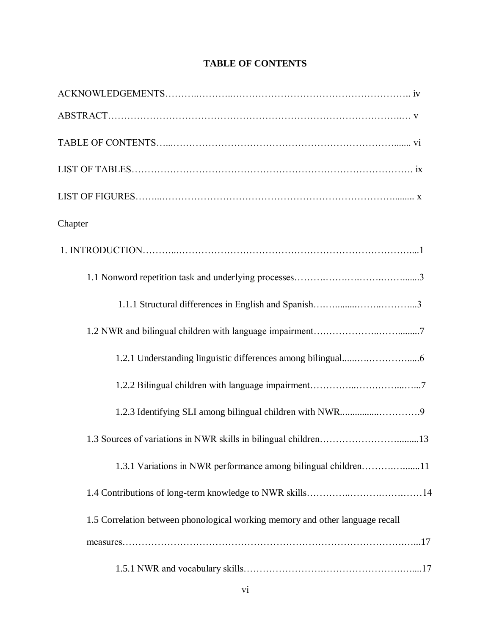| Chapter                                                                       |
|-------------------------------------------------------------------------------|
|                                                                               |
|                                                                               |
|                                                                               |
|                                                                               |
|                                                                               |
|                                                                               |
|                                                                               |
|                                                                               |
| 1.3.1 Variations in NWR performance among bilingual children11                |
|                                                                               |
| 1.5 Correlation between phonological working memory and other language recall |
|                                                                               |
|                                                                               |

### **TABLE OF CONTENTS**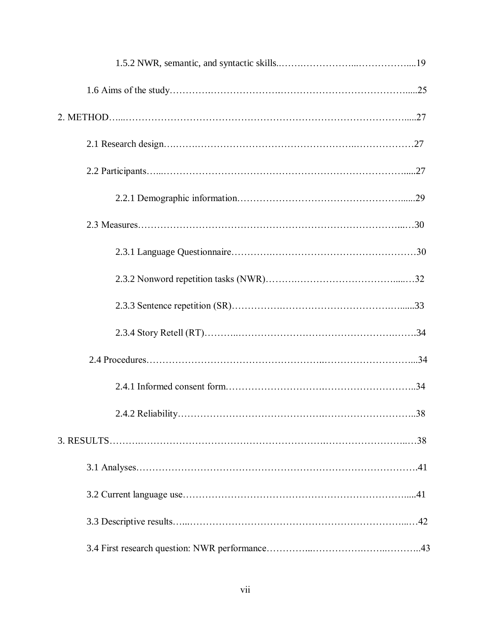| 2.4.2 Reliability. | 38 |
|--------------------|----|
|                    |    |
|                    |    |
|                    |    |
|                    |    |
|                    |    |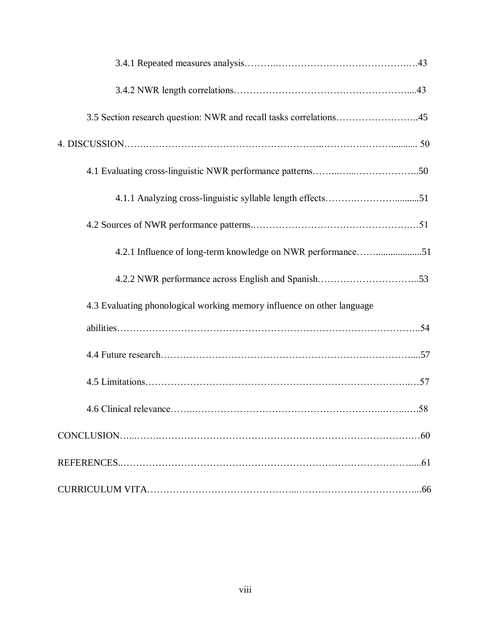| 3.5 Section research question: NWR and recall tasks correlations45     |  |
|------------------------------------------------------------------------|--|
|                                                                        |  |
|                                                                        |  |
|                                                                        |  |
|                                                                        |  |
| 4.2.1 Influence of long-term knowledge on NWR performance51            |  |
|                                                                        |  |
| 4.3 Evaluating phonological working memory influence on other language |  |
|                                                                        |  |
|                                                                        |  |
|                                                                        |  |
|                                                                        |  |
|                                                                        |  |
|                                                                        |  |
|                                                                        |  |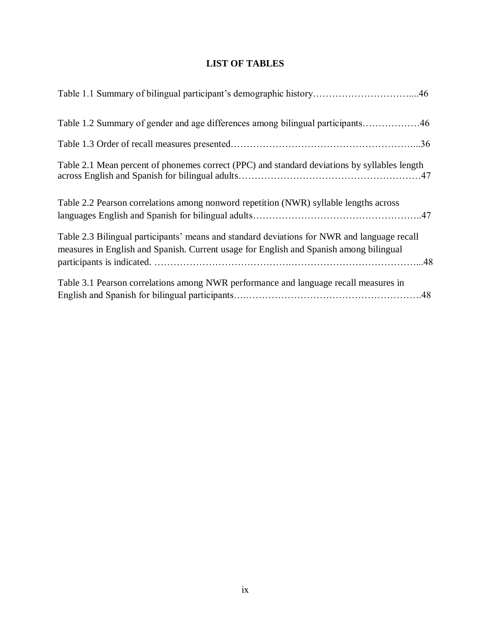### **LIST OF TABLES**

| Table 1.2 Summary of gender and age differences among bilingual participants46                                                                                                        |
|---------------------------------------------------------------------------------------------------------------------------------------------------------------------------------------|
|                                                                                                                                                                                       |
| Table 2.1 Mean percent of phonemes correct (PPC) and standard deviations by syllables length                                                                                          |
| Table 2.2 Pearson correlations among nonword repetition (NWR) syllable lengths across                                                                                                 |
| Table 2.3 Bilingual participants' means and standard deviations for NWR and language recall<br>measures in English and Spanish. Current usage for English and Spanish among bilingual |
| Table 3.1 Pearson correlations among NWR performance and language recall measures in                                                                                                  |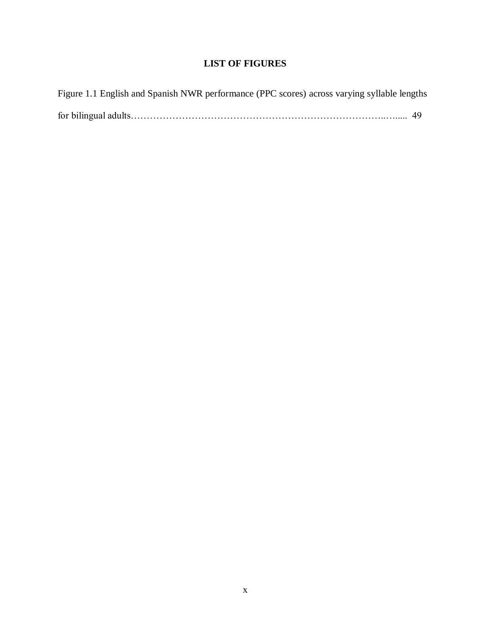### **LIST OF FIGURES**

| Figure 1.1 English and Spanish NWR performance (PPC scores) across varying syllable lengths |  |
|---------------------------------------------------------------------------------------------|--|
|                                                                                             |  |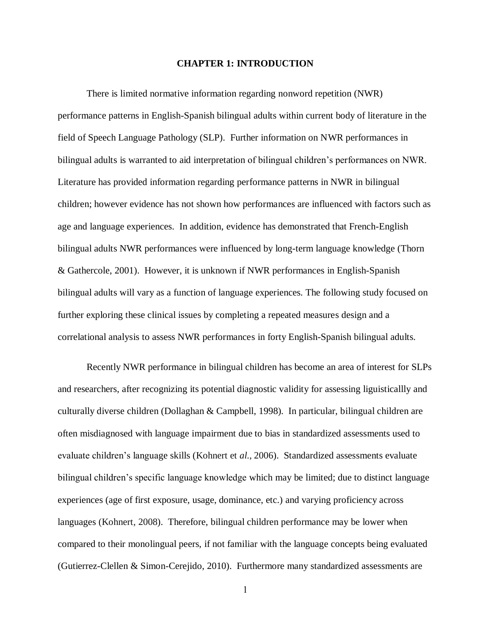### **CHAPTER 1: INTRODUCTION**

There is limited normative information regarding nonword repetition (NWR) performance patterns in English-Spanish bilingual adults within current body of literature in the field of Speech Language Pathology (SLP). Further information on NWR performances in bilingual adults is warranted to aid interpretation of bilingual children's performances on NWR. Literature has provided information regarding performance patterns in NWR in bilingual children; however evidence has not shown how performances are influenced with factors such as age and language experiences. In addition, evidence has demonstrated that French-English bilingual adults NWR performances were influenced by long-term language knowledge (Thorn & Gathercole, 2001). However, it is unknown if NWR performances in English-Spanish bilingual adults will vary as a function of language experiences. The following study focused on further exploring these clinical issues by completing a repeated measures design and a correlational analysis to assess NWR performances in forty English-Spanish bilingual adults.

Recently NWR performance in bilingual children has become an area of interest for SLPs and researchers, after recognizing its potential diagnostic validity for assessing liguisticallly and culturally diverse children (Dollaghan & Campbell, 1998). In particular, bilingual children are often misdiagnosed with language impairment due to bias in standardized assessments used to evaluate children's language skills (Kohnert et *al*., 2006). Standardized assessments evaluate bilingual children's specific language knowledge which may be limited; due to distinct language experiences (age of first exposure, usage, dominance, etc.) and varying proficiency across languages (Kohnert, 2008). Therefore, bilingual children performance may be lower when compared to their monolingual peers, if not familiar with the language concepts being evaluated (Gutierrez-Clellen & Simon-Cerejido, 2010). Furthermore many standardized assessments are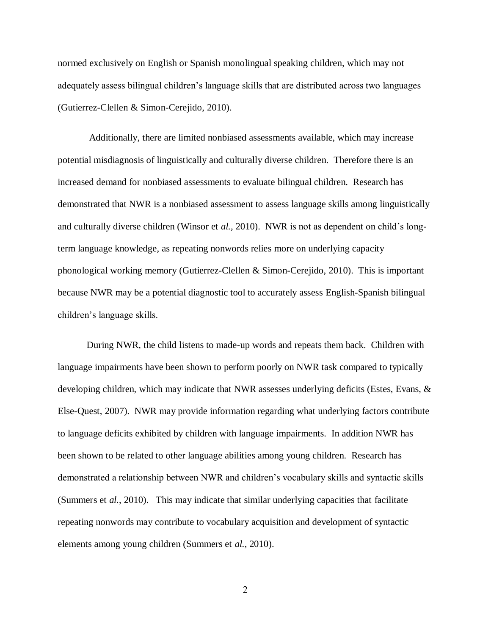normed exclusively on English or Spanish monolingual speaking children, which may not adequately assess bilingual children's language skills that are distributed across two languages (Gutierrez-Clellen & Simon-Cerejido, 2010).

Additionally, there are limited nonbiased assessments available, which may increase potential misdiagnosis of linguistically and culturally diverse children. Therefore there is an increased demand for nonbiased assessments to evaluate bilingual children. Research has demonstrated that NWR is a nonbiased assessment to assess language skills among linguistically and culturally diverse children (Winsor et *al.,* 2010). NWR is not as dependent on child's longterm language knowledge, as repeating nonwords relies more on underlying capacity phonological working memory (Gutierrez-Clellen & Simon-Cerejido, 2010). This is important because NWR may be a potential diagnostic tool to accurately assess English-Spanish bilingual children's language skills.

During NWR, the child listens to made-up words and repeats them back. Children with language impairments have been shown to perform poorly on NWR task compared to typically developing children, which may indicate that NWR assesses underlying deficits (Estes, Evans, & Else-Quest, 2007). NWR may provide information regarding what underlying factors contribute to language deficits exhibited by children with language impairments. In addition NWR has been shown to be related to other language abilities among young children. Research has demonstrated a relationship between NWR and children's vocabulary skills and syntactic skills (Summers et *al.*, 2010). This may indicate that similar underlying capacities that facilitate repeating nonwords may contribute to vocabulary acquisition and development of syntactic elements among young children (Summers et *al.*, 2010).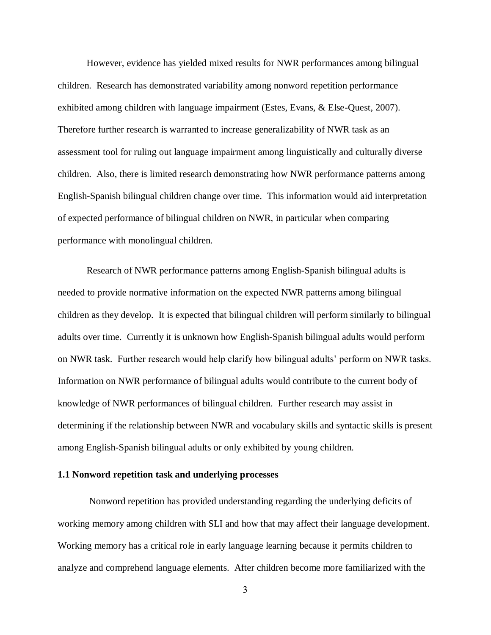However, evidence has yielded mixed results for NWR performances among bilingual children. Research has demonstrated variability among nonword repetition performance exhibited among children with language impairment (Estes, Evans, & Else-Quest, 2007). Therefore further research is warranted to increase generalizability of NWR task as an assessment tool for ruling out language impairment among linguistically and culturally diverse children. Also, there is limited research demonstrating how NWR performance patterns among English-Spanish bilingual children change over time. This information would aid interpretation of expected performance of bilingual children on NWR, in particular when comparing performance with monolingual children.

Research of NWR performance patterns among English-Spanish bilingual adults is needed to provide normative information on the expected NWR patterns among bilingual children as they develop. It is expected that bilingual children will perform similarly to bilingual adults over time. Currently it is unknown how English-Spanish bilingual adults would perform on NWR task. Further research would help clarify how bilingual adults' perform on NWR tasks. Information on NWR performance of bilingual adults would contribute to the current body of knowledge of NWR performances of bilingual children. Further research may assist in determining if the relationship between NWR and vocabulary skills and syntactic skills is present among English-Spanish bilingual adults or only exhibited by young children.

#### **1.1 Nonword repetition task and underlying processes**

Nonword repetition has provided understanding regarding the underlying deficits of working memory among children with SLI and how that may affect their language development. Working memory has a critical role in early language learning because it permits children to analyze and comprehend language elements. After children become more familiarized with the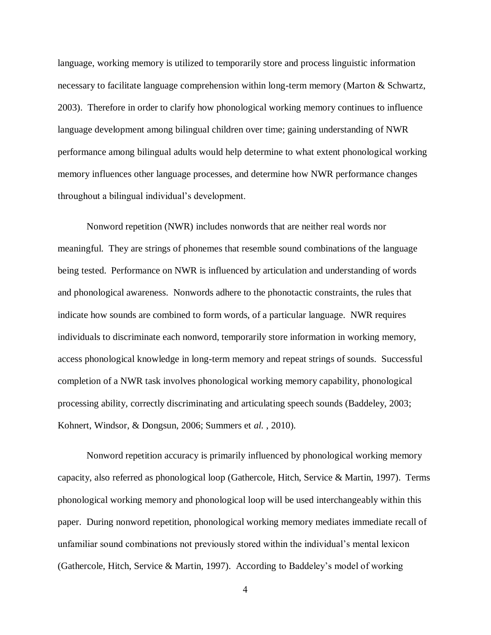language, working memory is utilized to temporarily store and process linguistic information necessary to facilitate language comprehension within long-term memory (Marton & Schwartz, 2003). Therefore in order to clarify how phonological working memory continues to influence language development among bilingual children over time; gaining understanding of NWR performance among bilingual adults would help determine to what extent phonological working memory influences other language processes, and determine how NWR performance changes throughout a bilingual individual's development.

Nonword repetition (NWR) includes nonwords that are neither real words nor meaningful. They are strings of phonemes that resemble sound combinations of the language being tested. Performance on NWR is influenced by articulation and understanding of words and phonological awareness. Nonwords adhere to the phonotactic constraints, the rules that indicate how sounds are combined to form words, of a particular language. NWR requires individuals to discriminate each nonword, temporarily store information in working memory, access phonological knowledge in long-term memory and repeat strings of sounds. Successful completion of a NWR task involves phonological working memory capability, phonological processing ability, correctly discriminating and articulating speech sounds (Baddeley, 2003; Kohnert, Windsor, & Dongsun, 2006; Summers et *al.* , 2010).

Nonword repetition accuracy is primarily influenced by phonological working memory capacity, also referred as phonological loop (Gathercole, Hitch, Service & Martin, 1997). Terms phonological working memory and phonological loop will be used interchangeably within this paper. During nonword repetition, phonological working memory mediates immediate recall of unfamiliar sound combinations not previously stored within the individual's mental lexicon (Gathercole, Hitch, Service & Martin, 1997). According to Baddeley's model of working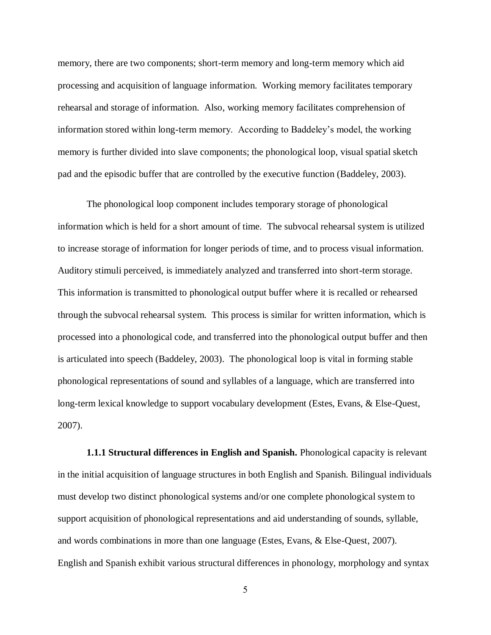memory, there are two components; short-term memory and long-term memory which aid processing and acquisition of language information. Working memory facilitates temporary rehearsal and storage of information. Also, working memory facilitates comprehension of information stored within long-term memory. According to Baddeley's model, the working memory is further divided into slave components; the phonological loop, visual spatial sketch pad and the episodic buffer that are controlled by the executive function (Baddeley, 2003).

The phonological loop component includes temporary storage of phonological information which is held for a short amount of time. The subvocal rehearsal system is utilized to increase storage of information for longer periods of time, and to process visual information. Auditory stimuli perceived, is immediately analyzed and transferred into short-term storage. This information is transmitted to phonological output buffer where it is recalled or rehearsed through the subvocal rehearsal system. This process is similar for written information, which is processed into a phonological code, and transferred into the phonological output buffer and then is articulated into speech (Baddeley, 2003). The phonological loop is vital in forming stable phonological representations of sound and syllables of a language, which are transferred into long-term lexical knowledge to support vocabulary development (Estes, Evans, & Else-Quest, 2007).

**1.1.1 Structural differences in English and Spanish.** Phonological capacity is relevant in the initial acquisition of language structures in both English and Spanish. Bilingual individuals must develop two distinct phonological systems and/or one complete phonological system to support acquisition of phonological representations and aid understanding of sounds, syllable, and words combinations in more than one language (Estes, Evans, & Else-Quest, 2007). English and Spanish exhibit various structural differences in phonology, morphology and syntax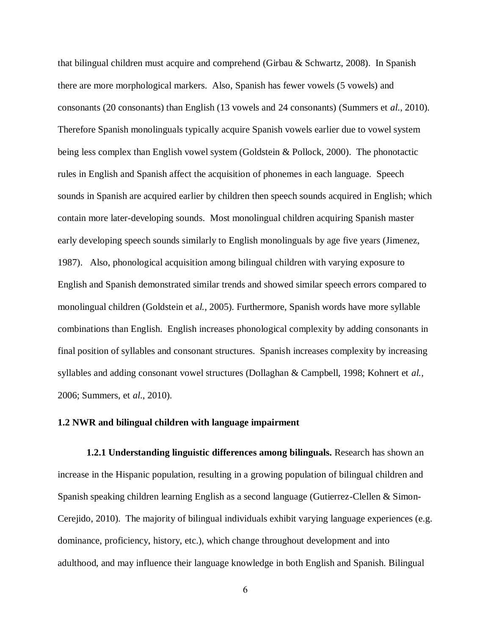that bilingual children must acquire and comprehend (Girbau & Schwartz, 2008). In Spanish there are more morphological markers. Also, Spanish has fewer vowels (5 vowels) and consonants (20 consonants) than English (13 vowels and 24 consonants) (Summers et *al*., 2010). Therefore Spanish monolinguals typically acquire Spanish vowels earlier due to vowel system being less complex than English vowel system (Goldstein & Pollock, 2000). The phonotactic rules in English and Spanish affect the acquisition of phonemes in each language. Speech sounds in Spanish are acquired earlier by children then speech sounds acquired in English; which contain more later-developing sounds. Most monolingual children acquiring Spanish master early developing speech sounds similarly to English monolinguals by age five years (Jimenez, 1987). Also, phonological acquisition among bilingual children with varying exposure to English and Spanish demonstrated similar trends and showed similar speech errors compared to monolingual children (Goldstein et a*l.,* 2005). Furthermore, Spanish words have more syllable combinations than English. English increases phonological complexity by adding consonants in final position of syllables and consonant structures. Spanish increases complexity by increasing syllables and adding consonant vowel structures (Dollaghan & Campbell, 1998; Kohnert et *al.*, 2006; Summers, et *al*., 2010).

### **1.2 NWR and bilingual children with language impairment**

**1.2.1 Understanding linguistic differences among bilinguals.** Research has shown an increase in the Hispanic population, resulting in a growing population of bilingual children and Spanish speaking children learning English as a second language (Gutierrez-Clellen & Simon-Cerejido, 2010). The majority of bilingual individuals exhibit varying language experiences (e.g. dominance, proficiency, history, etc.), which change throughout development and into adulthood, and may influence their language knowledge in both English and Spanish. Bilingual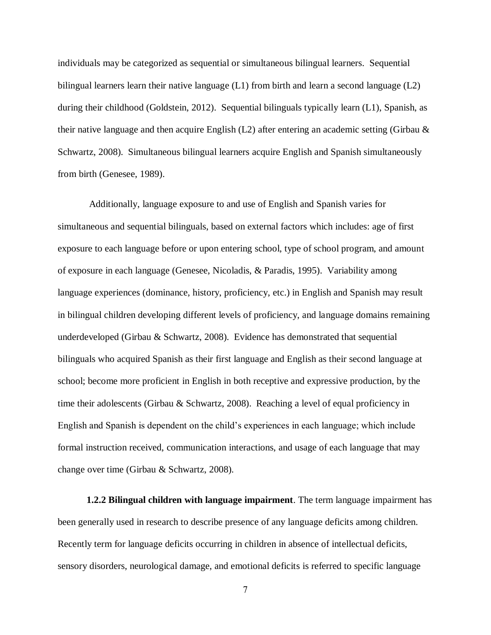individuals may be categorized as sequential or simultaneous bilingual learners. Sequential bilingual learners learn their native language (L1) from birth and learn a second language (L2) during their childhood (Goldstein, 2012). Sequential bilinguals typically learn (L1), Spanish, as their native language and then acquire English (L2) after entering an academic setting (Girbau & Schwartz, 2008). Simultaneous bilingual learners acquire English and Spanish simultaneously from birth (Genesee, 1989).

Additionally, language exposure to and use of English and Spanish varies for simultaneous and sequential bilinguals, based on external factors which includes: age of first exposure to each language before or upon entering school, type of school program, and amount of exposure in each language (Genesee, Nicoladis, & Paradis, 1995). Variability among language experiences (dominance, history, proficiency, etc.) in English and Spanish may result in bilingual children developing different levels of proficiency, and language domains remaining underdeveloped (Girbau & Schwartz, 2008). Evidence has demonstrated that sequential bilinguals who acquired Spanish as their first language and English as their second language at school; become more proficient in English in both receptive and expressive production, by the time their adolescents (Girbau & Schwartz, 2008). Reaching a level of equal proficiency in English and Spanish is dependent on the child's experiences in each language; which include formal instruction received, communication interactions, and usage of each language that may change over time (Girbau & Schwartz, 2008).

**1.2.2 Bilingual children with language impairment**. The term language impairment has been generally used in research to describe presence of any language deficits among children. Recently term for language deficits occurring in children in absence of intellectual deficits, sensory disorders, neurological damage, and emotional deficits is referred to specific language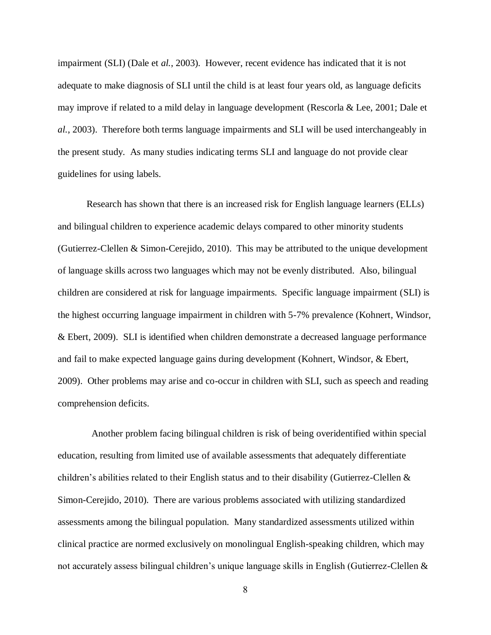impairment (SLI) (Dale et *al.*, 2003). However, recent evidence has indicated that it is not adequate to make diagnosis of SLI until the child is at least four years old, as language deficits may improve if related to a mild delay in language development (Rescorla & Lee, 2001; Dale et *al.*, 2003). Therefore both terms language impairments and SLI will be used interchangeably in the present study. As many studies indicating terms SLI and language do not provide clear guidelines for using labels.

Research has shown that there is an increased risk for English language learners (ELLs) and bilingual children to experience academic delays compared to other minority students (Gutierrez-Clellen & Simon-Cerejido, 2010). This may be attributed to the unique development of language skills across two languages which may not be evenly distributed. Also, bilingual children are considered at risk for language impairments. Specific language impairment (SLI) is the highest occurring language impairment in children with 5-7% prevalence (Kohnert, Windsor, & Ebert, 2009). SLI is identified when children demonstrate a decreased language performance and fail to make expected language gains during development (Kohnert, Windsor, & Ebert, 2009). Other problems may arise and co-occur in children with SLI, such as speech and reading comprehension deficits.

 Another problem facing bilingual children is risk of being overidentified within special education, resulting from limited use of available assessments that adequately differentiate children's abilities related to their English status and to their disability (Gutierrez-Clellen  $\&$ Simon-Cerejido, 2010). There are various problems associated with utilizing standardized assessments among the bilingual population. Many standardized assessments utilized within clinical practice are normed exclusively on monolingual English-speaking children, which may not accurately assess bilingual children's unique language skills in English (Gutierrez-Clellen &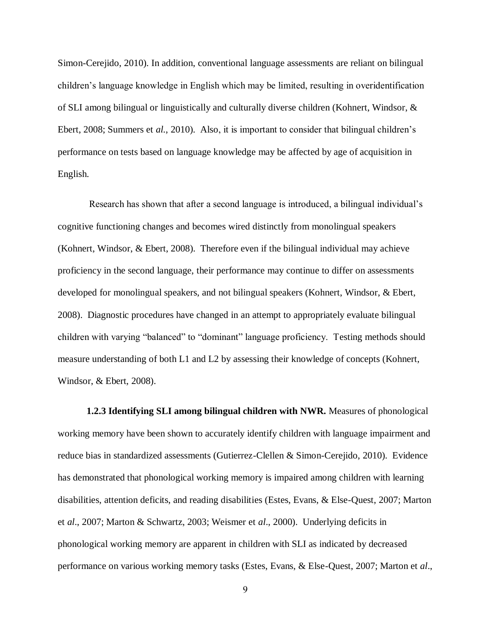Simon-Cerejido, 2010). In addition, conventional language assessments are reliant on bilingual children's language knowledge in English which may be limited, resulting in overidentification of SLI among bilingual or linguistically and culturally diverse children (Kohnert, Windsor, & Ebert, 2008; Summers et *al.*, 2010). Also, it is important to consider that bilingual children's performance on tests based on language knowledge may be affected by age of acquisition in English.

Research has shown that after a second language is introduced, a bilingual individual's cognitive functioning changes and becomes wired distinctly from monolingual speakers (Kohnert, Windsor, & Ebert, 2008). Therefore even if the bilingual individual may achieve proficiency in the second language, their performance may continue to differ on assessments developed for monolingual speakers, and not bilingual speakers (Kohnert, Windsor, & Ebert, 2008). Diagnostic procedures have changed in an attempt to appropriately evaluate bilingual children with varying "balanced" to "dominant" language proficiency. Testing methods should measure understanding of both L1 and L2 by assessing their knowledge of concepts (Kohnert, Windsor, & Ebert, 2008).

**1.2.3 Identifying SLI among bilingual children with NWR.** Measures of phonological working memory have been shown to accurately identify children with language impairment and reduce bias in standardized assessments (Gutierrez-Clellen & Simon-Cerejido, 2010). Evidence has demonstrated that phonological working memory is impaired among children with learning disabilities, attention deficits, and reading disabilities (Estes, Evans, & Else-Quest, 2007; Marton et *al*., 2007; Marton & Schwartz, 2003; Weismer et *al*., 2000). Underlying deficits in phonological working memory are apparent in children with SLI as indicated by decreased performance on various working memory tasks (Estes, Evans, & Else-Quest, 2007; Marton et *al*.,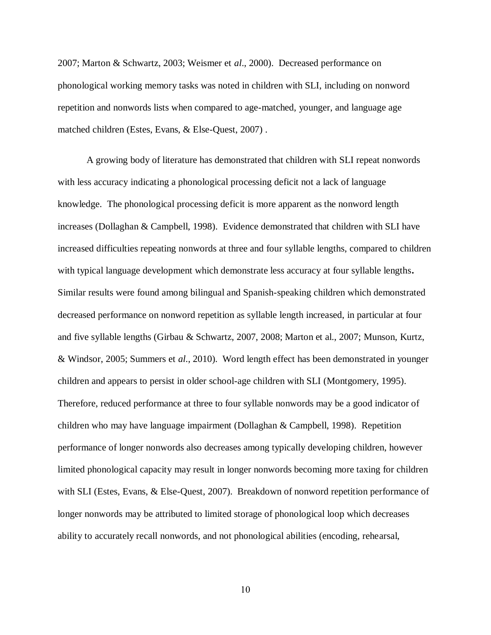2007; Marton & Schwartz, 2003; Weismer et *al*., 2000). Decreased performance on phonological working memory tasks was noted in children with SLI, including on nonword repetition and nonwords lists when compared to age-matched, younger, and language age matched children (Estes, Evans, & Else-Quest, 2007) .

A growing body of literature has demonstrated that children with SLI repeat nonwords with less accuracy indicating a phonological processing deficit not a lack of language knowledge. The phonological processing deficit is more apparent as the nonword length increases (Dollaghan & Campbell, 1998). Evidence demonstrated that children with SLI have increased difficulties repeating nonwords at three and four syllable lengths, compared to children with typical language development which demonstrate less accuracy at four syllable lengths**.**  Similar results were found among bilingual and Spanish-speaking children which demonstrated decreased performance on nonword repetition as syllable length increased, in particular at four and five syllable lengths (Girbau & Schwartz, 2007, 2008; Marton et al., 2007; Munson, Kurtz, & Windsor, 2005; Summers et *al*., 2010). Word length effect has been demonstrated in younger children and appears to persist in older school-age children with SLI (Montgomery, 1995). Therefore, reduced performance at three to four syllable nonwords may be a good indicator of children who may have language impairment (Dollaghan & Campbell, 1998). Repetition performance of longer nonwords also decreases among typically developing children, however limited phonological capacity may result in longer nonwords becoming more taxing for children with SLI (Estes, Evans, & Else-Quest, 2007). Breakdown of nonword repetition performance of longer nonwords may be attributed to limited storage of phonological loop which decreases ability to accurately recall nonwords, and not phonological abilities (encoding, rehearsal,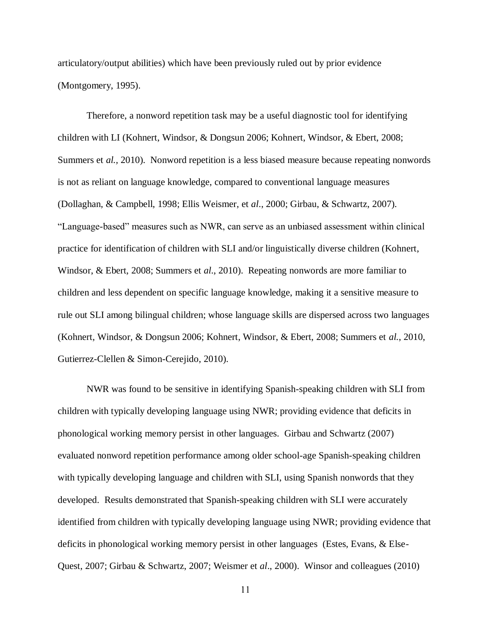articulatory/output abilities) which have been previously ruled out by prior evidence (Montgomery, 1995).

Therefore, a nonword repetition task may be a useful diagnostic tool for identifying children with LI (Kohnert, Windsor, & Dongsun 2006; Kohnert, Windsor, & Ebert, 2008; Summers et *al.,* 2010). Nonword repetition is a less biased measure because repeating nonwords is not as reliant on language knowledge, compared to conventional language measures (Dollaghan, & Campbell, 1998; Ellis Weismer, et *al*., 2000; Girbau, & Schwartz, 2007). "Language-based" measures such as NWR, can serve as an unbiased assessment within clinical practice for identification of children with SLI and/or linguistically diverse children (Kohnert, Windsor, & Ebert, 2008; Summers et *al*., 2010). Repeating nonwords are more familiar to children and less dependent on specific language knowledge, making it a sensitive measure to rule out SLI among bilingual children; whose language skills are dispersed across two languages (Kohnert, Windsor, & Dongsun 2006; Kohnert, Windsor, & Ebert, 2008; Summers et *al.*, 2010, Gutierrez-Clellen & Simon-Cerejido, 2010).

NWR was found to be sensitive in identifying Spanish-speaking children with SLI from children with typically developing language using NWR; providing evidence that deficits in phonological working memory persist in other languages. Girbau and Schwartz (2007) evaluated nonword repetition performance among older school-age Spanish-speaking children with typically developing language and children with SLI, using Spanish nonwords that they developed. Results demonstrated that Spanish-speaking children with SLI were accurately identified from children with typically developing language using NWR; providing evidence that deficits in phonological working memory persist in other languages (Estes, Evans, & Else-Quest, 2007; Girbau & Schwartz, 2007; Weismer et *al*., 2000). Winsor and colleagues (2010)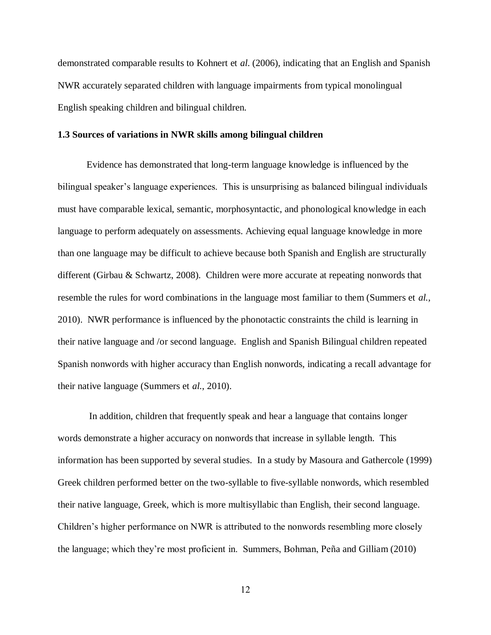demonstrated comparable results to Kohnert et *al*. (2006), indicating that an English and Spanish NWR accurately separated children with language impairments from typical monolingual English speaking children and bilingual children.

### **1.3 Sources of variations in NWR skills among bilingual children**

Evidence has demonstrated that long-term language knowledge is influenced by the bilingual speaker's language experiences. This is unsurprising as balanced bilingual individuals must have comparable lexical, semantic, morphosyntactic, and phonological knowledge in each language to perform adequately on assessments. Achieving equal language knowledge in more than one language may be difficult to achieve because both Spanish and English are structurally different (Girbau & Schwartz, 2008). Children were more accurate at repeating nonwords that resemble the rules for word combinations in the language most familiar to them (Summers et *al.,* 2010). NWR performance is influenced by the phonotactic constraints the child is learning in their native language and /or second language. English and Spanish Bilingual children repeated Spanish nonwords with higher accuracy than English nonwords, indicating a recall advantage for their native language (Summers et *al.*, 2010).

In addition, children that frequently speak and hear a language that contains longer words demonstrate a higher accuracy on nonwords that increase in syllable length. This information has been supported by several studies. In a study by Masoura and Gathercole (1999) Greek children performed better on the two-syllable to five-syllable nonwords, which resembled their native language, Greek, which is more multisyllabic than English, their second language. Children's higher performance on NWR is attributed to the nonwords resembling more closely the language; which they're most proficient in. Summers, Bohman, Peña and Gilliam (2010)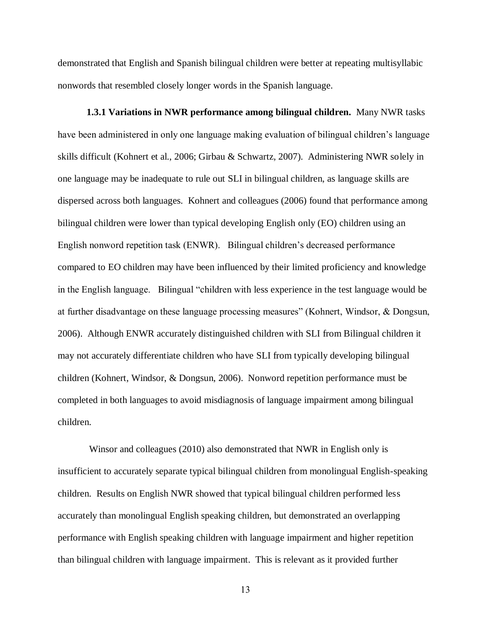demonstrated that English and Spanish bilingual children were better at repeating multisyllabic nonwords that resembled closely longer words in the Spanish language.

**1.3.1 Variations in NWR performance among bilingual children.** Many NWR tasks have been administered in only one language making evaluation of bilingual children's language skills difficult (Kohnert et al., 2006; Girbau & Schwartz, 2007). Administering NWR solely in one language may be inadequate to rule out SLI in bilingual children, as language skills are dispersed across both languages. Kohnert and colleagues (2006) found that performance among bilingual children were lower than typical developing English only (EO) children using an English nonword repetition task (ENWR). Bilingual children's decreased performance compared to EO children may have been influenced by their limited proficiency and knowledge in the English language. Bilingual "children with less experience in the test language would be at further disadvantage on these language processing measures" (Kohnert, Windsor, & Dongsun, 2006). Although ENWR accurately distinguished children with SLI from Bilingual children it may not accurately differentiate children who have SLI from typically developing bilingual children (Kohnert, Windsor, & Dongsun, 2006). Nonword repetition performance must be completed in both languages to avoid misdiagnosis of language impairment among bilingual children.

Winsor and colleagues (2010) also demonstrated that NWR in English only is insufficient to accurately separate typical bilingual children from monolingual English-speaking children. Results on English NWR showed that typical bilingual children performed less accurately than monolingual English speaking children, but demonstrated an overlapping performance with English speaking children with language impairment and higher repetition than bilingual children with language impairment. This is relevant as it provided further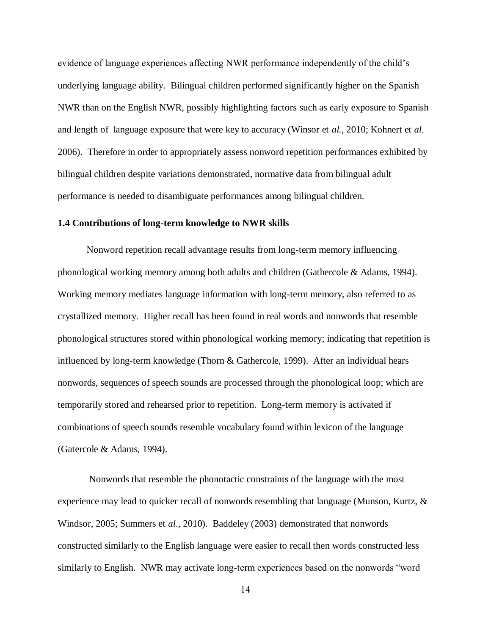evidence of language experiences affecting NWR performance independently of the child's underlying language ability. Bilingual children performed significantly higher on the Spanish NWR than on the English NWR, possibly highlighting factors such as early exposure to Spanish and length of language exposure that were key to accuracy (Winsor et *al.*, 2010; Kohnert et *al*. 2006). Therefore in order to appropriately assess nonword repetition performances exhibited by bilingual children despite variations demonstrated, normative data from bilingual adult performance is needed to disambiguate performances among bilingual children.

#### **1.4 Contributions of long-term knowledge to NWR skills**

Nonword repetition recall advantage results from long-term memory influencing phonological working memory among both adults and children (Gathercole & Adams, 1994). Working memory mediates language information with long-term memory, also referred to as crystallized memory. Higher recall has been found in real words and nonwords that resemble phonological structures stored within phonological working memory; indicating that repetition is influenced by long-term knowledge (Thorn & Gathercole, 1999). After an individual hears nonwords, sequences of speech sounds are processed through the phonological loop; which are temporarily stored and rehearsed prior to repetition. Long-term memory is activated if combinations of speech sounds resemble vocabulary found within lexicon of the language (Gatercole & Adams, 1994).

Nonwords that resemble the phonotactic constraints of the language with the most experience may lead to quicker recall of nonwords resembling that language (Munson, Kurtz, & Windsor, 2005; Summers et *al*., 2010).Baddeley (2003) demonstrated that nonwords constructed similarly to the English language were easier to recall then words constructed less similarly to English. NWR may activate long-term experiences based on the nonwords "word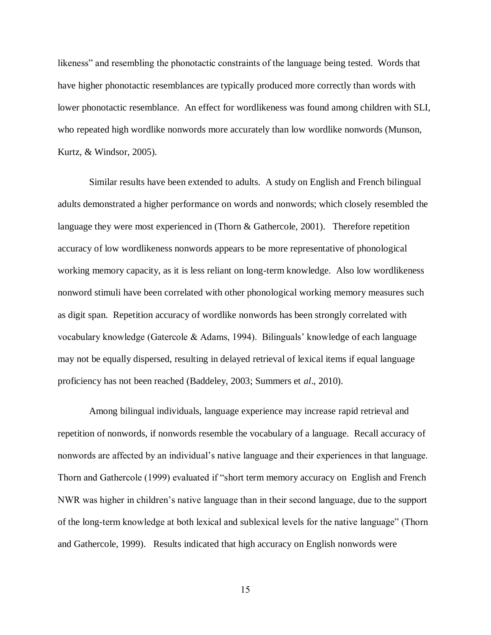likeness" and resembling the phonotactic constraints of the language being tested. Words that have higher phonotactic resemblances are typically produced more correctly than words with lower phonotactic resemblance. An effect for wordlikeness was found among children with SLI, who repeated high wordlike nonwords more accurately than low wordlike nonwords (Munson, Kurtz, & Windsor, 2005).

Similar results have been extended to adults. A study on English and French bilingual adults demonstrated a higher performance on words and nonwords; which closely resembled the language they were most experienced in (Thorn & Gathercole, 2001). Therefore repetition accuracy of low wordlikeness nonwords appears to be more representative of phonological working memory capacity, as it is less reliant on long-term knowledge. Also low wordlikeness nonword stimuli have been correlated with other phonological working memory measures such as digit span. Repetition accuracy of wordlike nonwords has been strongly correlated with vocabulary knowledge (Gatercole & Adams, 1994). Bilinguals' knowledge of each language may not be equally dispersed, resulting in delayed retrieval of lexical items if equal language proficiency has not been reached (Baddeley, 2003; Summers et *al*., 2010).

Among bilingual individuals, language experience may increase rapid retrieval and repetition of nonwords, if nonwords resemble the vocabulary of a language. Recall accuracy of nonwords are affected by an individual's native language and their experiences in that language. Thorn and Gathercole (1999) evaluated if "short term memory accuracy on English and French NWR was higher in children's native language than in their second language, due to the support of the long-term knowledge at both lexical and sublexical levels for the native language" (Thorn and Gathercole, 1999). Results indicated that high accuracy on English nonwords were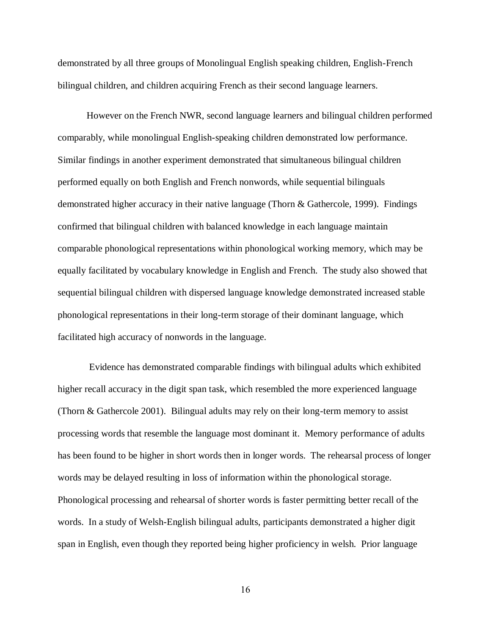demonstrated by all three groups of Monolingual English speaking children, English-French bilingual children, and children acquiring French as their second language learners.

However on the French NWR, second language learners and bilingual children performed comparably, while monolingual English-speaking children demonstrated low performance. Similar findings in another experiment demonstrated that simultaneous bilingual children performed equally on both English and French nonwords, while sequential bilinguals demonstrated higher accuracy in their native language (Thorn & Gathercole, 1999). Findings confirmed that bilingual children with balanced knowledge in each language maintain comparable phonological representations within phonological working memory, which may be equally facilitated by vocabulary knowledge in English and French. The study also showed that sequential bilingual children with dispersed language knowledge demonstrated increased stable phonological representations in their long-term storage of their dominant language, which facilitated high accuracy of nonwords in the language.

Evidence has demonstrated comparable findings with bilingual adults which exhibited higher recall accuracy in the digit span task, which resembled the more experienced language (Thorn & Gathercole 2001). Bilingual adults may rely on their long-term memory to assist processing words that resemble the language most dominant it. Memory performance of adults has been found to be higher in short words then in longer words. The rehearsal process of longer words may be delayed resulting in loss of information within the phonological storage. Phonological processing and rehearsal of shorter words is faster permitting better recall of the words. In a study of Welsh-English bilingual adults, participants demonstrated a higher digit span in English, even though they reported being higher proficiency in welsh. Prior language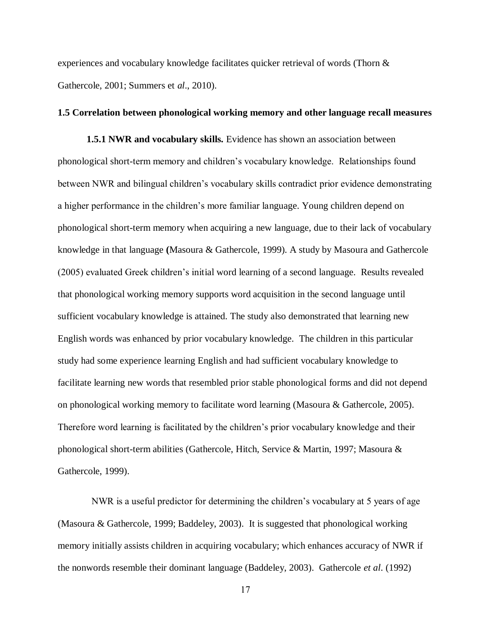experiences and vocabulary knowledge facilitates quicker retrieval of words (Thorn & Gathercole, 2001; Summers et *al*., 2010).

### **1.5 Correlation between phonological working memory and other language recall measures**

**1.5.1 NWR and vocabulary skills.** Evidence has shown an association between phonological short-term memory and children's vocabulary knowledge. Relationships found between NWR and bilingual children's vocabulary skills contradict prior evidence demonstrating a higher performance in the children's more familiar language. Young children depend on phonological short-term memory when acquiring a new language, due to their lack of vocabulary knowledge in that language **(**Masoura & Gathercole, 1999). A study by Masoura and Gathercole (2005) evaluated Greek children's initial word learning of a second language. Results revealed that phonological working memory supports word acquisition in the second language until sufficient vocabulary knowledge is attained. The study also demonstrated that learning new English words was enhanced by prior vocabulary knowledge. The children in this particular study had some experience learning English and had sufficient vocabulary knowledge to facilitate learning new words that resembled prior stable phonological forms and did not depend on phonological working memory to facilitate word learning (Masoura & Gathercole, 2005). Therefore word learning is facilitated by the children's prior vocabulary knowledge and their phonological short-term abilities (Gathercole, Hitch, Service & Martin, 1997; Masoura & Gathercole, 1999).

 NWR is a useful predictor for determining the children's vocabulary at 5 years of age (Masoura & Gathercole, 1999; Baddeley, 2003). It is suggested that phonological working memory initially assists children in acquiring vocabulary; which enhances accuracy of NWR if the nonwords resemble their dominant language (Baddeley, 2003). Gathercole *et al*. (1992)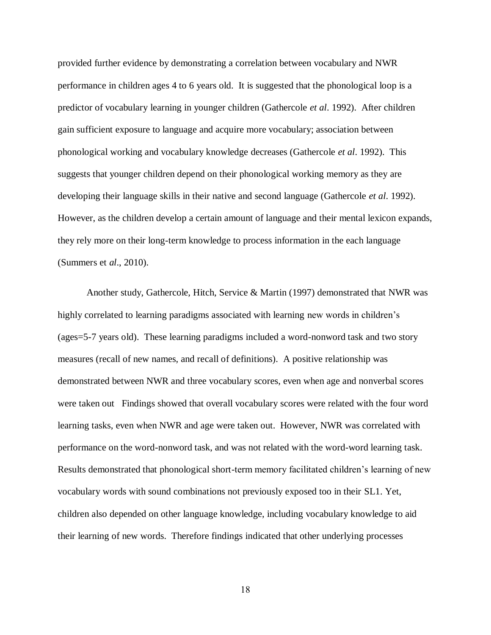provided further evidence by demonstrating a correlation between vocabulary and NWR performance in children ages 4 to 6 years old. It is suggested that the phonological loop is a predictor of vocabulary learning in younger children (Gathercole *et al*. 1992). After children gain sufficient exposure to language and acquire more vocabulary; association between phonological working and vocabulary knowledge decreases (Gathercole *et al*. 1992). This suggests that younger children depend on their phonological working memory as they are developing their language skills in their native and second language (Gathercole *et al*. 1992). However, as the children develop a certain amount of language and their mental lexicon expands, they rely more on their long-term knowledge to process information in the each language (Summers et *al*., 2010).

Another study, Gathercole, Hitch, Service & Martin (1997) demonstrated that NWR was highly correlated to learning paradigms associated with learning new words in children's (ages=5-7 years old). These learning paradigms included a word-nonword task and two story measures (recall of new names, and recall of definitions). A positive relationship was demonstrated between NWR and three vocabulary scores, even when age and nonverbal scores were taken out Findings showed that overall vocabulary scores were related with the four word learning tasks, even when NWR and age were taken out. However, NWR was correlated with performance on the word-nonword task, and was not related with the word-word learning task. Results demonstrated that phonological short-term memory facilitated children's learning of new vocabulary words with sound combinations not previously exposed too in their SL1. Yet, children also depended on other language knowledge, including vocabulary knowledge to aid their learning of new words. Therefore findings indicated that other underlying processes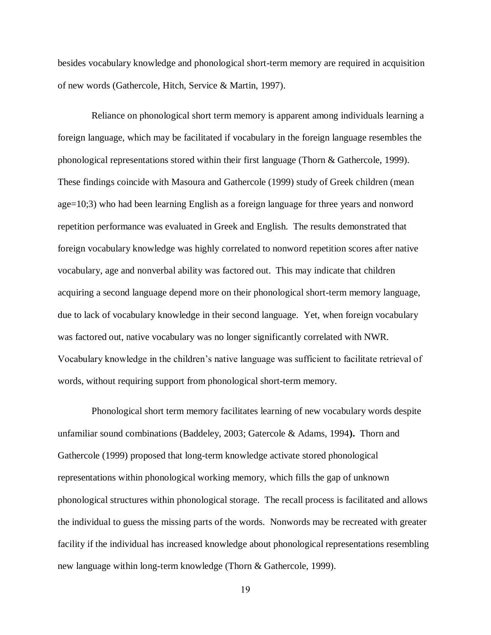besides vocabulary knowledge and phonological short-term memory are required in acquisition of new words (Gathercole, Hitch, Service & Martin, 1997).

 Reliance on phonological short term memory is apparent among individuals learning a foreign language, which may be facilitated if vocabulary in the foreign language resembles the phonological representations stored within their first language (Thorn & Gathercole, 1999). These findings coincide with Masoura and Gathercole (1999) study of Greek children (mean age=10;3) who had been learning English as a foreign language for three years and nonword repetition performance was evaluated in Greek and English. The results demonstrated that foreign vocabulary knowledge was highly correlated to nonword repetition scores after native vocabulary, age and nonverbal ability was factored out. This may indicate that children acquiring a second language depend more on their phonological short-term memory language, due to lack of vocabulary knowledge in their second language. Yet, when foreign vocabulary was factored out, native vocabulary was no longer significantly correlated with NWR. Vocabulary knowledge in the children's native language was sufficient to facilitate retrieval of words, without requiring support from phonological short-term memory.

 Phonological short term memory facilitates learning of new vocabulary words despite unfamiliar sound combinations (Baddeley, 2003; Gatercole & Adams, 1994**).** Thorn and Gathercole (1999) proposed that long-term knowledge activate stored phonological representations within phonological working memory, which fills the gap of unknown phonological structures within phonological storage. The recall process is facilitated and allows the individual to guess the missing parts of the words. Nonwords may be recreated with greater facility if the individual has increased knowledge about phonological representations resembling new language within long-term knowledge (Thorn & Gathercole, 1999).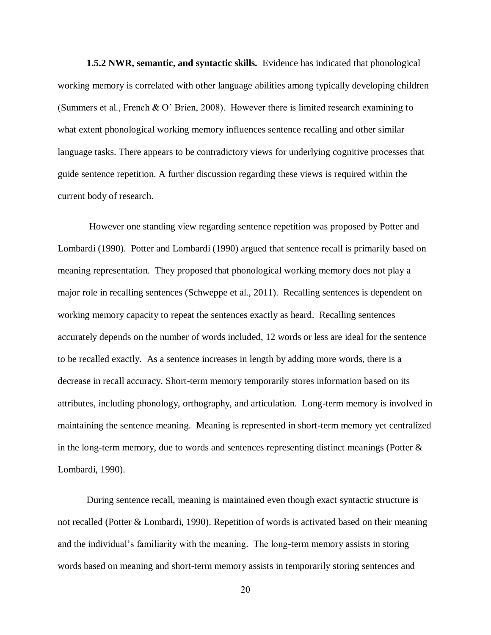**1.5.2 NWR, semantic, and syntactic skills.** Evidence has indicated that phonological working memory is correlated with other language abilities among typically developing children (Summers et al., French & O' Brien, 2008). However there is limited research examining to what extent phonological working memory influences sentence recalling and other similar language tasks. There appears to be contradictory views for underlying cognitive processes that guide sentence repetition. A further discussion regarding these views is required within the current body of research.

However one standing view regarding sentence repetition was proposed by Potter and Lombardi (1990). Potter and Lombardi (1990) argued that sentence recall is primarily based on meaning representation. They proposed that phonological working memory does not play a major role in recalling sentences (Schweppe et al., 2011). Recalling sentences is dependent on working memory capacity to repeat the sentences exactly as heard. Recalling sentences accurately depends on the number of words included, 12 words or less are ideal for the sentence to be recalled exactly. As a sentence increases in length by adding more words, there is a decrease in recall accuracy. Short-term memory temporarily stores information based on its attributes, including phonology, orthography, and articulation. Long-term memory is involved in maintaining the sentence meaning. Meaning is represented in short-term memory yet centralized in the long-term memory, due to words and sentences representing distinct meanings (Potter & Lombardi, 1990).

During sentence recall, meaning is maintained even though exact syntactic structure is not recalled (Potter & Lombardi, 1990). Repetition of words is activated based on their meaning and the individual's familiarity with the meaning. The long-term memory assists in storing words based on meaning and short-term memory assists in temporarily storing sentences and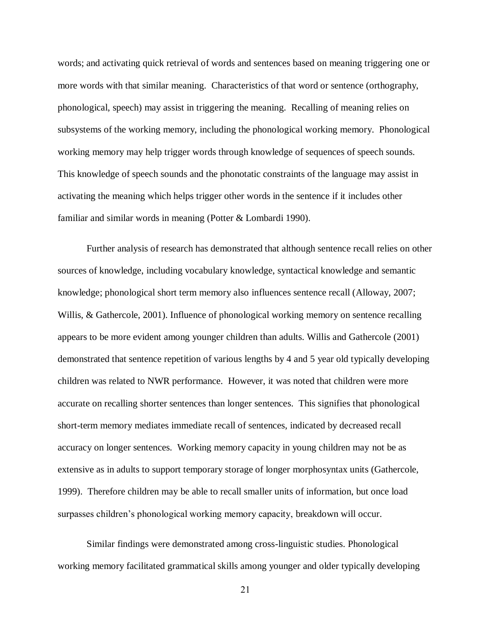words; and activating quick retrieval of words and sentences based on meaning triggering one or more words with that similar meaning. Characteristics of that word or sentence (orthography, phonological, speech) may assist in triggering the meaning. Recalling of meaning relies on subsystems of the working memory, including the phonological working memory. Phonological working memory may help trigger words through knowledge of sequences of speech sounds. This knowledge of speech sounds and the phonotatic constraints of the language may assist in activating the meaning which helps trigger other words in the sentence if it includes other familiar and similar words in meaning (Potter & Lombardi 1990).

Further analysis of research has demonstrated that although sentence recall relies on other sources of knowledge, including vocabulary knowledge, syntactical knowledge and semantic knowledge; phonological short term memory also influences sentence recall (Alloway, 2007; Willis, & Gathercole, 2001). Influence of phonological working memory on sentence recalling appears to be more evident among younger children than adults. Willis and Gathercole (2001) demonstrated that sentence repetition of various lengths by 4 and 5 year old typically developing children was related to NWR performance. However, it was noted that children were more accurate on recalling shorter sentences than longer sentences. This signifies that phonological short-term memory mediates immediate recall of sentences, indicated by decreased recall accuracy on longer sentences. Working memory capacity in young children may not be as extensive as in adults to support temporary storage of longer morphosyntax units (Gathercole, 1999). Therefore children may be able to recall smaller units of information, but once load surpasses children's phonological working memory capacity, breakdown will occur.

Similar findings were demonstrated among cross-linguistic studies. Phonological working memory facilitated grammatical skills among younger and older typically developing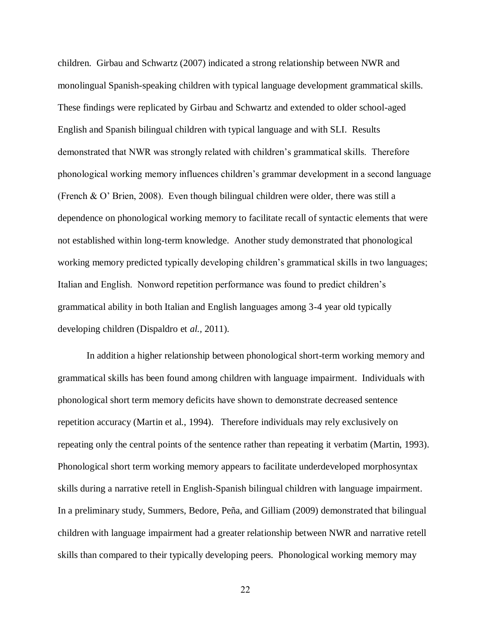children. Girbau and Schwartz (2007) indicated a strong relationship between NWR and monolingual Spanish-speaking children with typical language development grammatical skills. These findings were replicated by Girbau and Schwartz and extended to older school-aged English and Spanish bilingual children with typical language and with SLI. Results demonstrated that NWR was strongly related with children's grammatical skills. Therefore phonological working memory influences children's grammar development in a second language (French & O' Brien, 2008). Even though bilingual children were older, there was still a dependence on phonological working memory to facilitate recall of syntactic elements that were not established within long-term knowledge. Another study demonstrated that phonological working memory predicted typically developing children's grammatical skills in two languages; Italian and English. Nonword repetition performance was found to predict children's grammatical ability in both Italian and English languages among 3-4 year old typically developing children (Dispaldro et *al.,* 2011).

In addition a higher relationship between phonological short-term working memory and grammatical skills has been found among children with language impairment. Individuals with phonological short term memory deficits have shown to demonstrate decreased sentence repetition accuracy (Martin et al., 1994). Therefore individuals may rely exclusively on repeating only the central points of the sentence rather than repeating it verbatim (Martin, 1993). Phonological short term working memory appears to facilitate underdeveloped morphosyntax skills during a narrative retell in English-Spanish bilingual children with language impairment. In a preliminary study, Summers, Bedore, Peña, and Gilliam (2009) demonstrated that bilingual children with language impairment had a greater relationship between NWR and narrative retell skills than compared to their typically developing peers. Phonological working memory may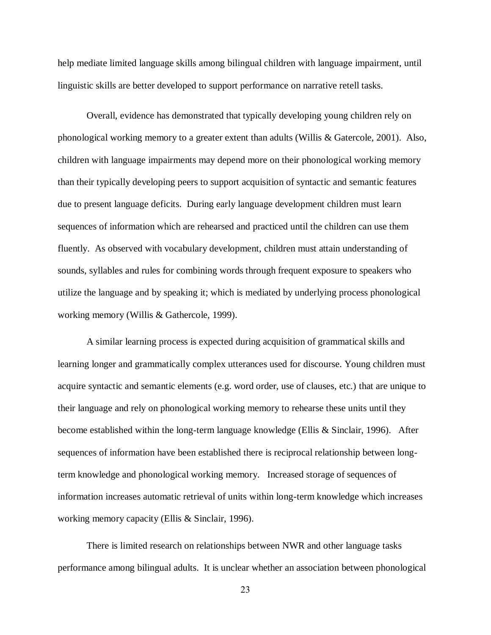help mediate limited language skills among bilingual children with language impairment, until linguistic skills are better developed to support performance on narrative retell tasks.

Overall, evidence has demonstrated that typically developing young children rely on phonological working memory to a greater extent than adults (Willis & Gatercole, 2001). Also, children with language impairments may depend more on their phonological working memory than their typically developing peers to support acquisition of syntactic and semantic features due to present language deficits. During early language development children must learn sequences of information which are rehearsed and practiced until the children can use them fluently. As observed with vocabulary development, children must attain understanding of sounds, syllables and rules for combining words through frequent exposure to speakers who utilize the language and by speaking it; which is mediated by underlying process phonological working memory (Willis & Gathercole, 1999).

A similar learning process is expected during acquisition of grammatical skills and learning longer and grammatically complex utterances used for discourse. Young children must acquire syntactic and semantic elements (e.g. word order, use of clauses, etc.) that are unique to their language and rely on phonological working memory to rehearse these units until they become established within the long-term language knowledge (Ellis & Sinclair, 1996). After sequences of information have been established there is reciprocal relationship between longterm knowledge and phonological working memory. Increased storage of sequences of information increases automatic retrieval of units within long-term knowledge which increases working memory capacity (Ellis & Sinclair, 1996).

There is limited research on relationships between NWR and other language tasks performance among bilingual adults. It is unclear whether an association between phonological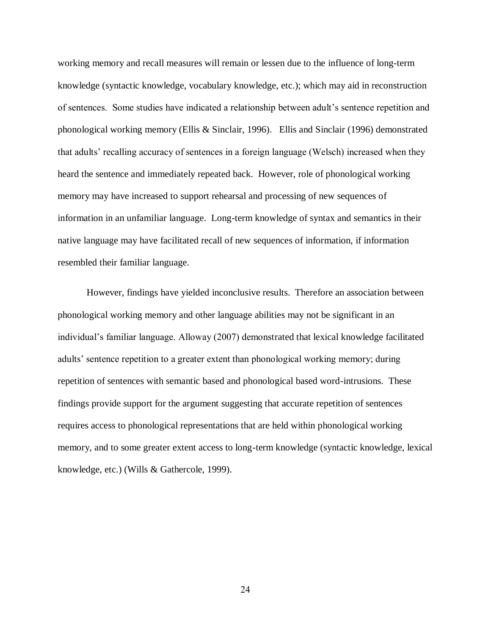working memory and recall measures will remain or lessen due to the influence of long-term knowledge (syntactic knowledge, vocabulary knowledge, etc.); which may aid in reconstruction of sentences. Some studies have indicated a relationship between adult's sentence repetition and phonological working memory (Ellis & Sinclair, 1996). Ellis and Sinclair (1996) demonstrated that adults' recalling accuracy of sentences in a foreign language (Welsch) increased when they heard the sentence and immediately repeated back. However, role of phonological working memory may have increased to support rehearsal and processing of new sequences of information in an unfamiliar language. Long-term knowledge of syntax and semantics in their native language may have facilitated recall of new sequences of information, if information resembled their familiar language.

However, findings have yielded inconclusive results. Therefore an association between phonological working memory and other language abilities may not be significant in an individual's familiar language. Alloway (2007) demonstrated that lexical knowledge facilitated adults' sentence repetition to a greater extent than phonological working memory; during repetition of sentences with semantic based and phonological based word-intrusions. These findings provide support for the argument suggesting that accurate repetition of sentences requires access to phonological representations that are held within phonological working memory, and to some greater extent access to long-term knowledge (syntactic knowledge, lexical knowledge, etc.) (Wills & Gathercole, 1999).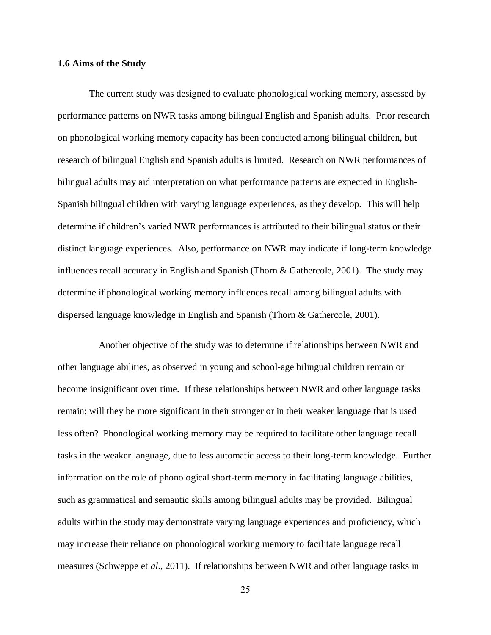### **1.6 Aims of the Study**

 The current study was designed to evaluate phonological working memory, assessed by performance patterns on NWR tasks among bilingual English and Spanish adults. Prior research on phonological working memory capacity has been conducted among bilingual children, but research of bilingual English and Spanish adults is limited. Research on NWR performances of bilingual adults may aid interpretation on what performance patterns are expected in English-Spanish bilingual children with varying language experiences, as they develop. This will help determine if children's varied NWR performances is attributed to their bilingual status or their distinct language experiences. Also, performance on NWR may indicate if long-term knowledge influences recall accuracy in English and Spanish (Thorn & Gathercole, 2001). The study may determine if phonological working memory influences recall among bilingual adults with dispersed language knowledge in English and Spanish (Thorn & Gathercole, 2001).

 Another objective of the study was to determine if relationships between NWR and other language abilities, as observed in young and school-age bilingual children remain or become insignificant over time. If these relationships between NWR and other language tasks remain; will they be more significant in their stronger or in their weaker language that is used less often? Phonological working memory may be required to facilitate other language recall tasks in the weaker language, due to less automatic access to their long-term knowledge. Further information on the role of phonological short-term memory in facilitating language abilities, such as grammatical and semantic skills among bilingual adults may be provided. Bilingual adults within the study may demonstrate varying language experiences and proficiency, which may increase their reliance on phonological working memory to facilitate language recall measures (Schweppe et *al*., 2011). If relationships between NWR and other language tasks in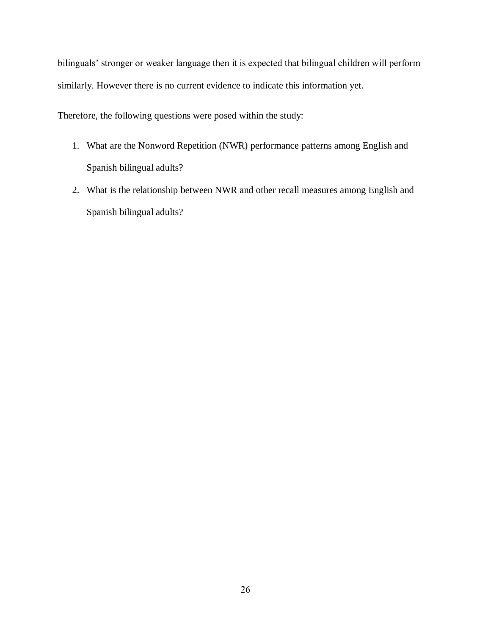bilinguals' stronger or weaker language then it is expected that bilingual children will perform similarly. However there is no current evidence to indicate this information yet.

Therefore, the following questions were posed within the study:

- 1. What are the Nonword Repetition (NWR) performance patterns among English and Spanish bilingual adults?
- 2. What is the relationship between NWR and other recall measures among English and Spanish bilingual adults?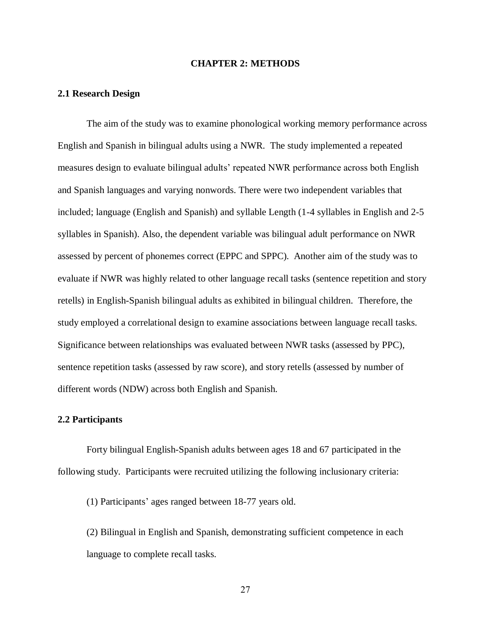### **CHAPTER 2: METHODS**

### **2.1 Research Design**

The aim of the study was to examine phonological working memory performance across English and Spanish in bilingual adults using a NWR. The study implemented a repeated measures design to evaluate bilingual adults' repeated NWR performance across both English and Spanish languages and varying nonwords. There were two independent variables that included; language (English and Spanish) and syllable Length (1-4 syllables in English and 2-5 syllables in Spanish). Also, the dependent variable was bilingual adult performance on NWR assessed by percent of phonemes correct (EPPC and SPPC). Another aim of the study was to evaluate if NWR was highly related to other language recall tasks (sentence repetition and story retells) in English-Spanish bilingual adults as exhibited in bilingual children. Therefore, the study employed a correlational design to examine associations between language recall tasks. Significance between relationships was evaluated between NWR tasks (assessed by PPC), sentence repetition tasks (assessed by raw score), and story retells (assessed by number of different words (NDW) across both English and Spanish.

### **2.2 Participants**

Forty bilingual English-Spanish adults between ages 18 and 67 participated in the following study. Participants were recruited utilizing the following inclusionary criteria:

(1) Participants' ages ranged between 18-77 years old.

(2) Bilingual in English and Spanish, demonstrating sufficient competence in each language to complete recall tasks.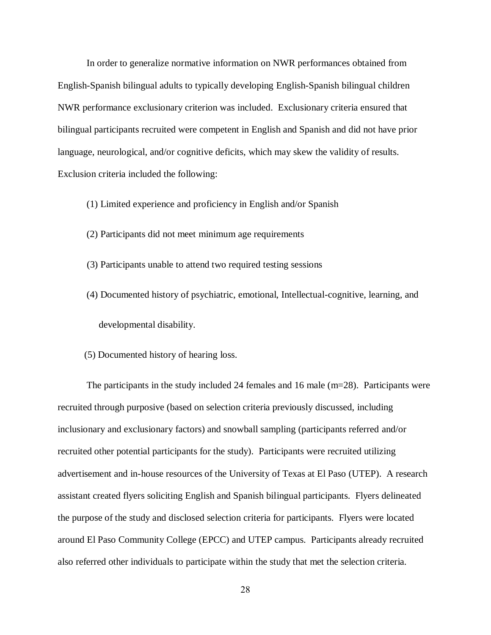In order to generalize normative information on NWR performances obtained from English-Spanish bilingual adults to typically developing English-Spanish bilingual children NWR performance exclusionary criterion was included. Exclusionary criteria ensured that bilingual participants recruited were competent in English and Spanish and did not have prior language, neurological, and/or cognitive deficits, which may skew the validity of results. Exclusion criteria included the following:

- (1) Limited experience and proficiency in English and/or Spanish
- (2) Participants did not meet minimum age requirements
- (3) Participants unable to attend two required testing sessions
- (4) Documented history of psychiatric, emotional, Intellectual-cognitive, learning, and developmental disability.
- (5) Documented history of hearing loss.

The participants in the study included 24 females and 16 male  $(m=28)$ . Participants were recruited through purposive (based on selection criteria previously discussed, including inclusionary and exclusionary factors) and snowball sampling (participants referred and/or recruited other potential participants for the study). Participants were recruited utilizing advertisement and in-house resources of the University of Texas at El Paso (UTEP). A research assistant created flyers soliciting English and Spanish bilingual participants. Flyers delineated the purpose of the study and disclosed selection criteria for participants. Flyers were located around El Paso Community College (EPCC) and UTEP campus. Participants already recruited also referred other individuals to participate within the study that met the selection criteria.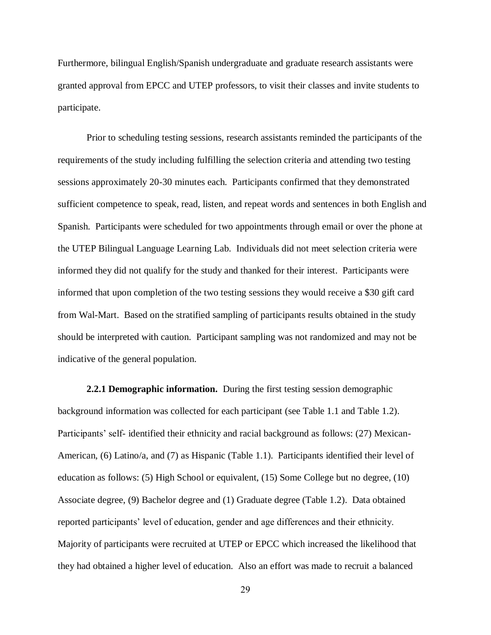Furthermore, bilingual English/Spanish undergraduate and graduate research assistants were granted approval from EPCC and UTEP professors, to visit their classes and invite students to participate.

Prior to scheduling testing sessions, research assistants reminded the participants of the requirements of the study including fulfilling the selection criteria and attending two testing sessions approximately 20-30 minutes each. Participants confirmed that they demonstrated sufficient competence to speak, read, listen, and repeat words and sentences in both English and Spanish. Participants were scheduled for two appointments through email or over the phone at the UTEP Bilingual Language Learning Lab. Individuals did not meet selection criteria were informed they did not qualify for the study and thanked for their interest. Participants were informed that upon completion of the two testing sessions they would receive a \$30 gift card from Wal-Mart. Based on the stratified sampling of participants results obtained in the study should be interpreted with caution. Participant sampling was not randomized and may not be indicative of the general population.

**2.2.1 Demographic information.** During the first testing session demographic background information was collected for each participant (see Table 1.1 and Table 1.2). Participants' self- identified their ethnicity and racial background as follows: (27) Mexican-American, (6) Latino/a, and (7) as Hispanic (Table 1.1). Participants identified their level of education as follows: (5) High School or equivalent, (15) Some College but no degree, (10) Associate degree, (9) Bachelor degree and (1) Graduate degree (Table 1.2). Data obtained reported participants' level of education, gender and age differences and their ethnicity. Majority of participants were recruited at UTEP or EPCC which increased the likelihood that they had obtained a higher level of education. Also an effort was made to recruit a balanced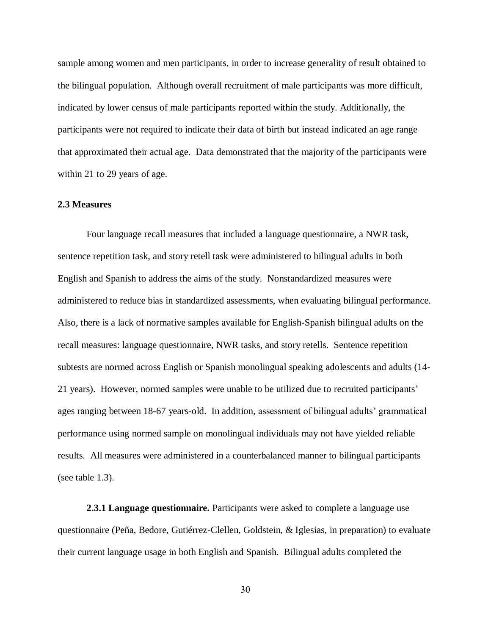sample among women and men participants, in order to increase generality of result obtained to the bilingual population. Although overall recruitment of male participants was more difficult, indicated by lower census of male participants reported within the study. Additionally, the participants were not required to indicate their data of birth but instead indicated an age range that approximated their actual age. Data demonstrated that the majority of the participants were within 21 to 29 years of age.

# **2.3 Measures**

Four language recall measures that included a language questionnaire, a NWR task, sentence repetition task, and story retell task were administered to bilingual adults in both English and Spanish to address the aims of the study. Nonstandardized measures were administered to reduce bias in standardized assessments, when evaluating bilingual performance. Also, there is a lack of normative samples available for English-Spanish bilingual adults on the recall measures: language questionnaire, NWR tasks, and story retells. Sentence repetition subtests are normed across English or Spanish monolingual speaking adolescents and adults (14- 21 years). However, normed samples were unable to be utilized due to recruited participants' ages ranging between 18-67 years-old. In addition, assessment of bilingual adults' grammatical performance using normed sample on monolingual individuals may not have yielded reliable results. All measures were administered in a counterbalanced manner to bilingual participants (see table 1.3).

**2.3.1 Language questionnaire.** Participants were asked to complete a language use questionnaire (Peña, Bedore, Gutiérrez-Clellen, Goldstein, & Iglesias, in preparation) to evaluate their current language usage in both English and Spanish. Bilingual adults completed the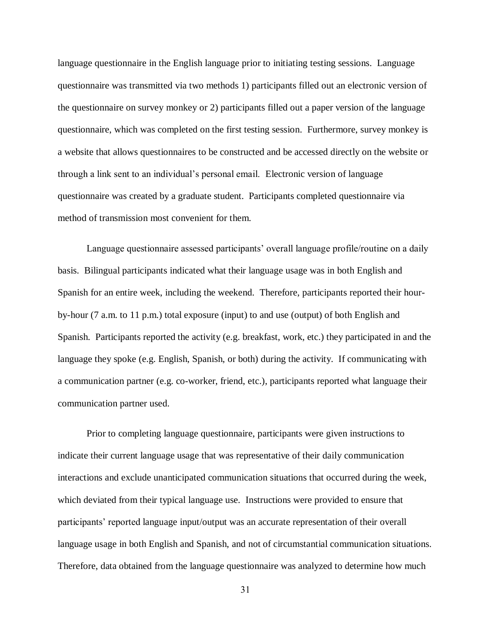language questionnaire in the English language prior to initiating testing sessions. Language questionnaire was transmitted via two methods 1) participants filled out an electronic version of the questionnaire on survey monkey or 2) participants filled out a paper version of the language questionnaire, which was completed on the first testing session. Furthermore, survey monkey is a website that allows questionnaires to be constructed and be accessed directly on the website or through a link sent to an individual's personal email. Electronic version of language questionnaire was created by a graduate student. Participants completed questionnaire via method of transmission most convenient for them.

Language questionnaire assessed participants' overall language profile/routine on a daily basis. Bilingual participants indicated what their language usage was in both English and Spanish for an entire week, including the weekend. Therefore, participants reported their hourby-hour (7 a.m. to 11 p.m.) total exposure (input) to and use (output) of both English and Spanish. Participants reported the activity (e.g. breakfast, work, etc.) they participated in and the language they spoke (e.g. English, Spanish, or both) during the activity. If communicating with a communication partner (e.g. co-worker, friend, etc.), participants reported what language their communication partner used.

Prior to completing language questionnaire, participants were given instructions to indicate their current language usage that was representative of their daily communication interactions and exclude unanticipated communication situations that occurred during the week, which deviated from their typical language use. Instructions were provided to ensure that participants' reported language input/output was an accurate representation of their overall language usage in both English and Spanish, and not of circumstantial communication situations. Therefore, data obtained from the language questionnaire was analyzed to determine how much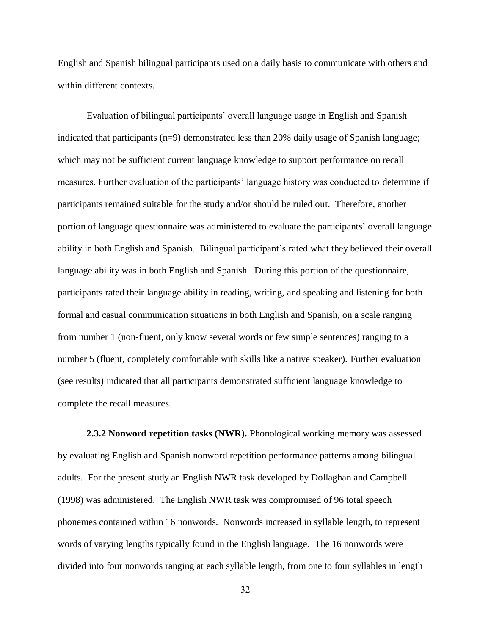English and Spanish bilingual participants used on a daily basis to communicate with others and within different contexts.

Evaluation of bilingual participants' overall language usage in English and Spanish indicated that participants (n=9) demonstrated less than 20% daily usage of Spanish language; which may not be sufficient current language knowledge to support performance on recall measures. Further evaluation of the participants' language history was conducted to determine if participants remained suitable for the study and/or should be ruled out. Therefore, another portion of language questionnaire was administered to evaluate the participants' overall language ability in both English and Spanish. Bilingual participant's rated what they believed their overall language ability was in both English and Spanish. During this portion of the questionnaire, participants rated their language ability in reading, writing, and speaking and listening for both formal and casual communication situations in both English and Spanish, on a scale ranging from number 1 (non-fluent, only know several words or few simple sentences) ranging to a number 5 (fluent, completely comfortable with skills like a native speaker). Further evaluation (see results) indicated that all participants demonstrated sufficient language knowledge to complete the recall measures.

**2.3.2 Nonword repetition tasks (NWR).** Phonological working memory was assessed by evaluating English and Spanish nonword repetition performance patterns among bilingual adults. For the present study an English NWR task developed by Dollaghan and Campbell (1998) was administered. The English NWR task was compromised of 96 total speech phonemes contained within 16 nonwords. Nonwords increased in syllable length, to represent words of varying lengths typically found in the English language. The 16 nonwords were divided into four nonwords ranging at each syllable length, from one to four syllables in length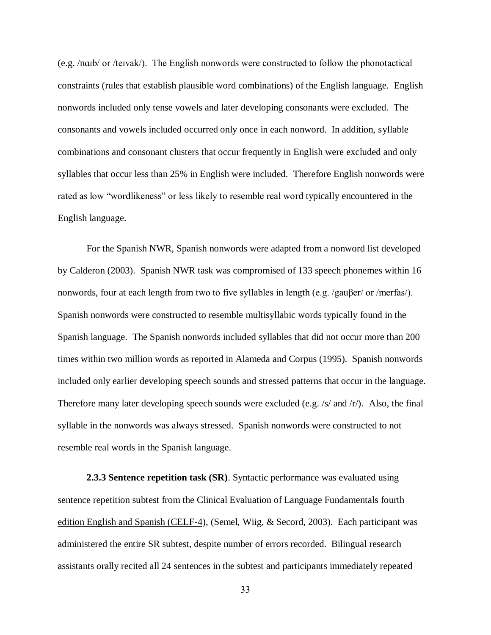(e.g. /nɑɪb/ or /teɪvak/). The English nonwords were constructed to follow the phonotactical constraints (rules that establish plausible word combinations) of the English language. English nonwords included only tense vowels and later developing consonants were excluded. The consonants and vowels included occurred only once in each nonword. In addition, syllable combinations and consonant clusters that occur frequently in English were excluded and only syllables that occur less than 25% in English were included. Therefore English nonwords were rated as low "wordlikeness" or less likely to resemble real word typically encountered in the English language.

For the Spanish NWR, Spanish nonwords were adapted from a nonword list developed by Calderon (2003). Spanish NWR task was compromised of 133 speech phonemes within 16 nonwords, four at each length from two to five syllables in length (e.g. /gauβer/ or /merfas/). Spanish nonwords were constructed to resemble multisyllabic words typically found in the Spanish language. The Spanish nonwords included syllables that did not occur more than 200 times within two million words as reported in Alameda and Corpus (1995). Spanish nonwords included only earlier developing speech sounds and stressed patterns that occur in the language. Therefore many later developing speech sounds were excluded (e.g. /s/ and /r/). Also, the final syllable in the nonwords was always stressed. Spanish nonwords were constructed to not resemble real words in the Spanish language.

**2.3.3 Sentence repetition task (SR)**. Syntactic performance was evaluated using sentence repetition subtest from the Clinical Evaluation of Language Fundamentals fourth edition English and Spanish (CELF-4), (Semel, Wiig, & Secord, 2003). Each participant was administered the entire SR subtest, despite number of errors recorded. Bilingual research assistants orally recited all 24 sentences in the subtest and participants immediately repeated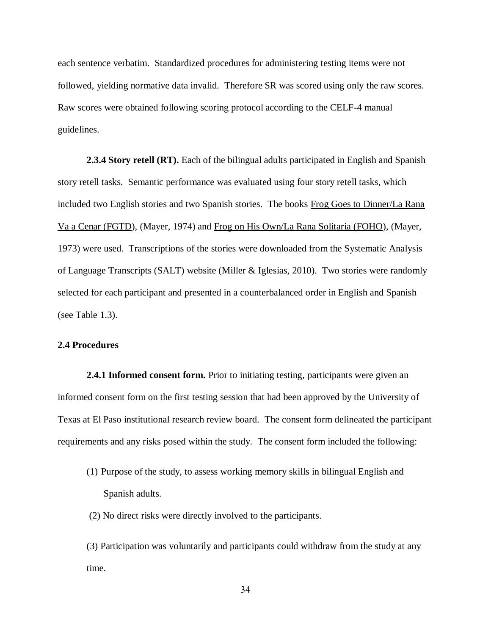each sentence verbatim. Standardized procedures for administering testing items were not followed, yielding normative data invalid. Therefore SR was scored using only the raw scores. Raw scores were obtained following scoring protocol according to the CELF-4 manual guidelines.

**2.3.4 Story retell (RT).** Each of the bilingual adults participated in English and Spanish story retell tasks. Semantic performance was evaluated using four story retell tasks, which included two English stories and two Spanish stories. The books Frog Goes to Dinner/La Rana Va a Cenar (FGTD), (Mayer, 1974) and Frog on His Own/La Rana Solitaria (FOHO), (Mayer, 1973) were used. Transcriptions of the stories were downloaded from the Systematic Analysis of Language Transcripts (SALT) website (Miller & Iglesias, 2010). Two stories were randomly selected for each participant and presented in a counterbalanced order in English and Spanish (see Table 1.3).

# **2.4 Procedures**

**2.4.1 Informed consent form.** Prior to initiating testing, participants were given an informed consent form on the first testing session that had been approved by the University of Texas at El Paso institutional research review board. The consent form delineated the participant requirements and any risks posed within the study. The consent form included the following:

- (1) Purpose of the study, to assess working memory skills in bilingual English and Spanish adults.
- (2) No direct risks were directly involved to the participants.

(3) Participation was voluntarily and participants could withdraw from the study at any time.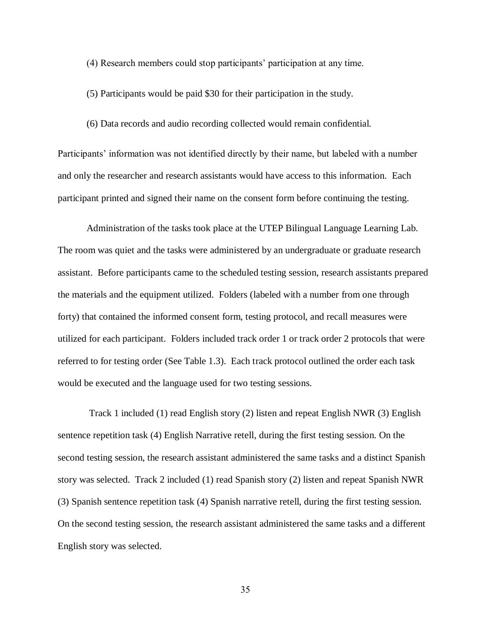(4) Research members could stop participants' participation at any time.

(5) Participants would be paid \$30 for their participation in the study.

(6) Data records and audio recording collected would remain confidential.

Participants' information was not identified directly by their name, but labeled with a number and only the researcher and research assistants would have access to this information. Each participant printed and signed their name on the consent form before continuing the testing.

Administration of the tasks took place at the UTEP Bilingual Language Learning Lab. The room was quiet and the tasks were administered by an undergraduate or graduate research assistant. Before participants came to the scheduled testing session, research assistants prepared the materials and the equipment utilized. Folders (labeled with a number from one through forty) that contained the informed consent form, testing protocol, and recall measures were utilized for each participant. Folders included track order 1 or track order 2 protocols that were referred to for testing order (See Table 1.3). Each track protocol outlined the order each task would be executed and the language used for two testing sessions.

Track 1 included (1) read English story (2) listen and repeat English NWR (3) English sentence repetition task (4) English Narrative retell, during the first testing session. On the second testing session, the research assistant administered the same tasks and a distinct Spanish story was selected. Track 2 included (1) read Spanish story (2) listen and repeat Spanish NWR (3) Spanish sentence repetition task (4) Spanish narrative retell, during the first testing session. On the second testing session, the research assistant administered the same tasks and a different English story was selected.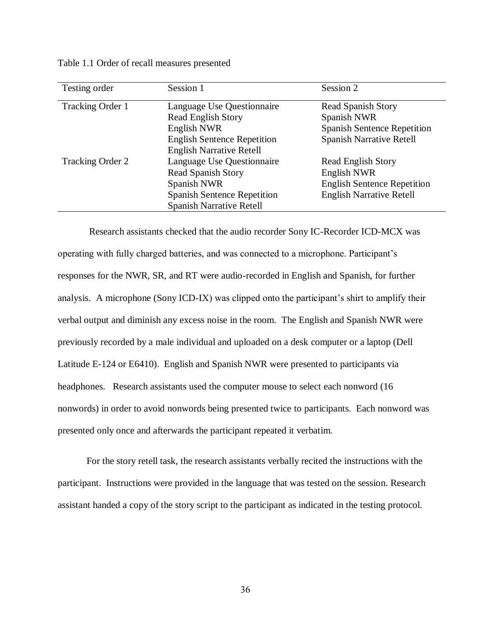Table 1.1 Order of recall measures presented

| Testing order    | Session 1                          | Session 2                          |
|------------------|------------------------------------|------------------------------------|
| Tracking Order 1 | Language Use Questionnaire         | <b>Read Spanish Story</b>          |
|                  | <b>Read English Story</b>          | Spanish NWR                        |
|                  | English NWR                        | <b>Spanish Sentence Repetition</b> |
|                  | <b>English Sentence Repetition</b> | <b>Spanish Narrative Retell</b>    |
|                  | <b>English Narrative Retell</b>    |                                    |
| Tracking Order 2 | Language Use Questionnaire         | <b>Read English Story</b>          |
|                  | Read Spanish Story                 | English NWR                        |
|                  | Spanish NWR                        | <b>English Sentence Repetition</b> |
|                  | <b>Spanish Sentence Repetition</b> | <b>English Narrative Retell</b>    |
|                  | <b>Spanish Narrative Retell</b>    |                                    |

Research assistants checked that the audio recorder Sony IC-Recorder ICD-MCX was operating with fully charged batteries, and was connected to a microphone. Participant's responses for the NWR, SR, and RT were audio-recorded in English and Spanish, for further analysis. A microphone (Sony ICD-IX) was clipped onto the participant's shirt to amplify their verbal output and diminish any excess noise in the room. The English and Spanish NWR were previously recorded by a male individual and uploaded on a desk computer or a laptop (Dell Latitude E-124 or E6410). English and Spanish NWR were presented to participants via headphones. Research assistants used the computer mouse to select each nonword (16 nonwords) in order to avoid nonwords being presented twice to participants. Each nonword was presented only once and afterwards the participant repeated it verbatim.

For the story retell task, the research assistants verbally recited the instructions with the participant. Instructions were provided in the language that was tested on the session. Research assistant handed a copy of the story script to the participant as indicated in the testing protocol.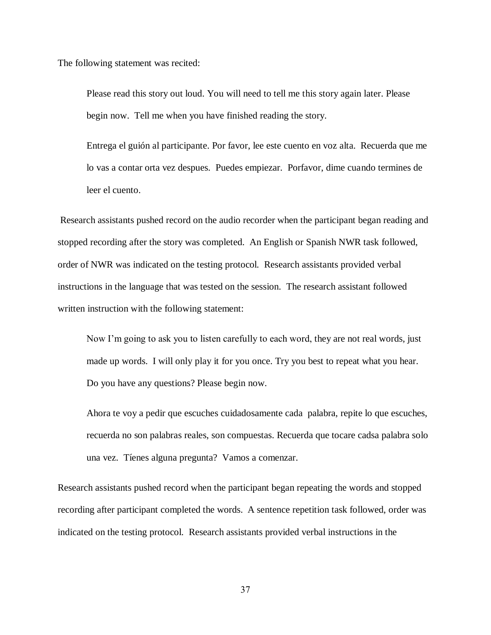The following statement was recited:

Please read this story out loud. You will need to tell me this story again later. Please begin now. Tell me when you have finished reading the story.

Entrega el guión al participante. Por favor, lee este cuento en voz alta. Recuerda que me lo vas a contar orta vez despues. Puedes empiezar. Porfavor, dime cuando termines de leer el cuento.

Research assistants pushed record on the audio recorder when the participant began reading and stopped recording after the story was completed. An English or Spanish NWR task followed, order of NWR was indicated on the testing protocol. Research assistants provided verbal instructions in the language that was tested on the session. The research assistant followed written instruction with the following statement:

Now I'm going to ask you to listen carefully to each word, they are not real words, just made up words. I will only play it for you once. Try you best to repeat what you hear. Do you have any questions? Please begin now.

Ahora te voy a pedir que escuches cuidadosamente cada palabra, repite lo que escuches, recuerda no son palabras reales, son compuestas. Recuerda que tocare cadsa palabra solo una vez. Tíenes alguna pregunta? Vamos a comenzar.

Research assistants pushed record when the participant began repeating the words and stopped recording after participant completed the words. A sentence repetition task followed, order was indicated on the testing protocol. Research assistants provided verbal instructions in the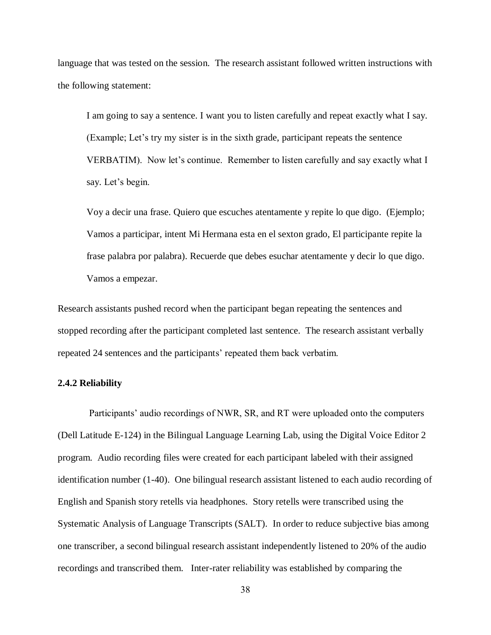language that was tested on the session. The research assistant followed written instructions with the following statement:

I am going to say a sentence. I want you to listen carefully and repeat exactly what I say. (Example; Let's try my sister is in the sixth grade, participant repeats the sentence VERBATIM). Now let's continue. Remember to listen carefully and say exactly what I say. Let's begin.

Voy a decir una frase. Quiero que escuches atentamente y repite lo que digo. (Ejemplo; Vamos a participar, intent Mi Hermana esta en el sexton grado, El participante repite la frase palabra por palabra). Recuerde que debes esuchar atentamente y decir lo que digo. Vamos a empezar.

Research assistants pushed record when the participant began repeating the sentences and stopped recording after the participant completed last sentence. The research assistant verbally repeated 24 sentences and the participants' repeated them back verbatim.

# **2.4.2 Reliability**

Participants' audio recordings of NWR, SR, and RT were uploaded onto the computers (Dell Latitude E-124) in the Bilingual Language Learning Lab, using the Digital Voice Editor 2 program. Audio recording files were created for each participant labeled with their assigned identification number (1-40). One bilingual research assistant listened to each audio recording of English and Spanish story retells via headphones. Story retells were transcribed using the Systematic Analysis of Language Transcripts (SALT). In order to reduce subjective bias among one transcriber, a second bilingual research assistant independently listened to 20% of the audio recordings and transcribed them. Inter-rater reliability was established by comparing the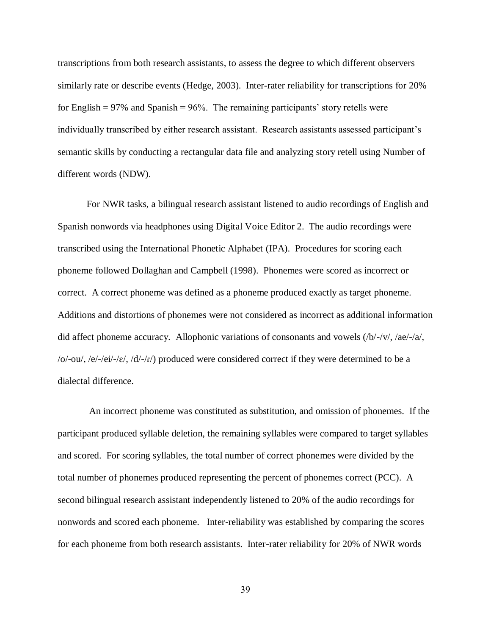transcriptions from both research assistants, to assess the degree to which different observers similarly rate or describe events (Hedge, 2003). Inter-rater reliability for transcriptions for 20% for English  $= 97\%$  and Spanish  $= 96\%$ . The remaining participants' story retells were individually transcribed by either research assistant. Research assistants assessed participant's semantic skills by conducting a rectangular data file and analyzing story retell using Number of different words (NDW).

For NWR tasks, a bilingual research assistant listened to audio recordings of English and Spanish nonwords via headphones using Digital Voice Editor 2. The audio recordings were transcribed using the International Phonetic Alphabet (IPA). Procedures for scoring each phoneme followed Dollaghan and Campbell (1998). Phonemes were scored as incorrect or correct. A correct phoneme was defined as a phoneme produced exactly as target phoneme. Additions and distortions of phonemes were not considered as incorrect as additional information did affect phoneme accuracy. Allophonic variations of consonants and vowels (/b/-/v/, /ae/-/a/,  $/o$ -ou/, /e/-/ei/-/ $\varepsilon$ /, /d/-/ $\iota$ /) produced were considered correct if they were determined to be a dialectal difference.

An incorrect phoneme was constituted as substitution, and omission of phonemes. If the participant produced syllable deletion, the remaining syllables were compared to target syllables and scored. For scoring syllables, the total number of correct phonemes were divided by the total number of phonemes produced representing the percent of phonemes correct (PCC). A second bilingual research assistant independently listened to 20% of the audio recordings for nonwords and scored each phoneme. Inter-reliability was established by comparing the scores for each phoneme from both research assistants. Inter-rater reliability for 20% of NWR words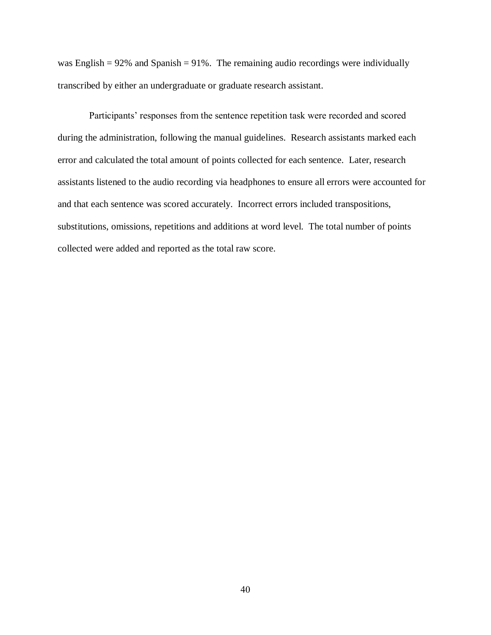was English  $= 92\%$  and Spanish  $= 91\%$ . The remaining audio recordings were individually transcribed by either an undergraduate or graduate research assistant.

Participants' responses from the sentence repetition task were recorded and scored during the administration, following the manual guidelines. Research assistants marked each error and calculated the total amount of points collected for each sentence. Later, research assistants listened to the audio recording via headphones to ensure all errors were accounted for and that each sentence was scored accurately. Incorrect errors included transpositions, substitutions, omissions, repetitions and additions at word level. The total number of points collected were added and reported as the total raw score.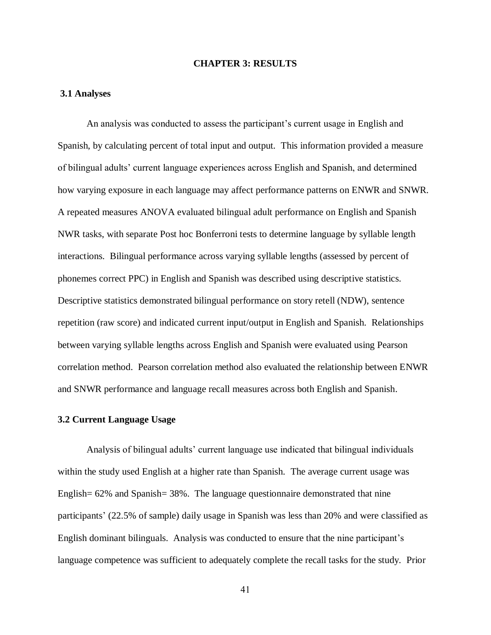# **CHAPTER 3: RESULTS**

### **3.1 Analyses**

An analysis was conducted to assess the participant's current usage in English and Spanish, by calculating percent of total input and output. This information provided a measure of bilingual adults' current language experiences across English and Spanish, and determined how varying exposure in each language may affect performance patterns on ENWR and SNWR. A repeated measures ANOVA evaluated bilingual adult performance on English and Spanish NWR tasks, with separate Post hoc Bonferroni tests to determine language by syllable length interactions. Bilingual performance across varying syllable lengths (assessed by percent of phonemes correct PPC) in English and Spanish was described using descriptive statistics. Descriptive statistics demonstrated bilingual performance on story retell (NDW), sentence repetition (raw score) and indicated current input/output in English and Spanish. Relationships between varying syllable lengths across English and Spanish were evaluated using Pearson correlation method. Pearson correlation method also evaluated the relationship between ENWR and SNWR performance and language recall measures across both English and Spanish.

### **3.2 Current Language Usage**

Analysis of bilingual adults' current language use indicated that bilingual individuals within the study used English at a higher rate than Spanish. The average current usage was English= 62% and Spanish= 38%. The language questionnaire demonstrated that nine participants' (22.5% of sample) daily usage in Spanish was less than 20% and were classified as English dominant bilinguals. Analysis was conducted to ensure that the nine participant's language competence was sufficient to adequately complete the recall tasks for the study. Prior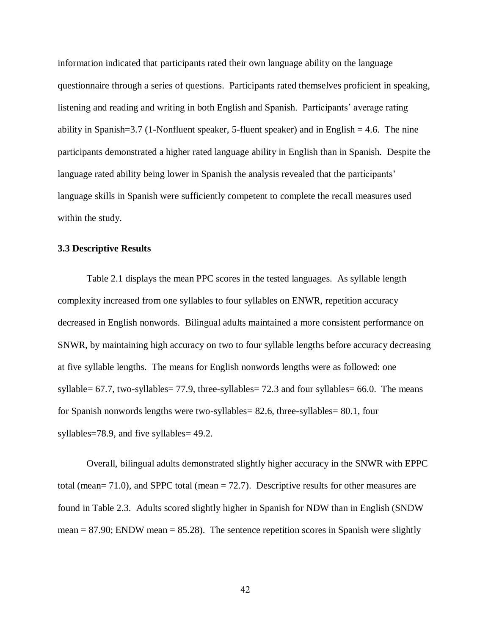information indicated that participants rated their own language ability on the language questionnaire through a series of questions. Participants rated themselves proficient in speaking, listening and reading and writing in both English and Spanish. Participants' average rating ability in Spanish=3.7 (1-Nonfluent speaker, 5-fluent speaker) and in English  $= 4.6$ . The nine participants demonstrated a higher rated language ability in English than in Spanish. Despite the language rated ability being lower in Spanish the analysis revealed that the participants' language skills in Spanish were sufficiently competent to complete the recall measures used within the study.

# **3.3 Descriptive Results**

Table 2.1 displays the mean PPC scores in the tested languages. As syllable length complexity increased from one syllables to four syllables on ENWR, repetition accuracy decreased in English nonwords. Bilingual adults maintained a more consistent performance on SNWR, by maintaining high accuracy on two to four syllable lengths before accuracy decreasing at five syllable lengths. The means for English nonwords lengths were as followed: one syllable= 67.7, two-syllables= 77.9, three-syllables= 72.3 and four syllables= 66.0. The means for Spanish nonwords lengths were two-syllables= 82.6, three-syllables= 80.1, four syllables=78.9, and five syllables= 49.2.

Overall, bilingual adults demonstrated slightly higher accuracy in the SNWR with EPPC total (mean= 71.0), and SPPC total (mean = 72.7). Descriptive results for other measures are found in Table 2.3. Adults scored slightly higher in Spanish for NDW than in English (SNDW mean  $= 87.90$ ; ENDW mean  $= 85.28$ ). The sentence repetition scores in Spanish were slightly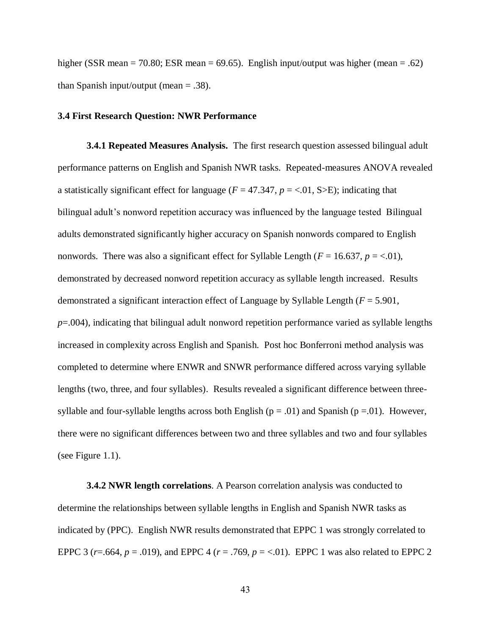higher (SSR mean = 70.80; ESR mean = 69.65). English input/output was higher (mean = .62) than Spanish input/output (mean  $= .38$ ).

### **3.4 First Research Question: NWR Performance**

**3.4.1 Repeated Measures Analysis.** The first research question assessed bilingual adult performance patterns on English and Spanish NWR tasks. Repeated-measures ANOVA revealed a statistically significant effect for language ( $F = 47.347$ ,  $p = < .01$ , S $> E$ ); indicating that bilingual adult's nonword repetition accuracy was influenced by the language tested Bilingual adults demonstrated significantly higher accuracy on Spanish nonwords compared to English nonwords. There was also a significant effect for Syllable Length  $(F = 16.637, p = 0.01)$ , demonstrated by decreased nonword repetition accuracy as syllable length increased. Results demonstrated a significant interaction effect of Language by Syllable Length (*F* = 5.901, *p*=.004), indicating that bilingual adult nonword repetition performance varied as syllable lengths increased in complexity across English and Spanish. Post hoc Bonferroni method analysis was completed to determine where ENWR and SNWR performance differed across varying syllable lengths (two, three, and four syllables). Results revealed a significant difference between threesyllable and four-syllable lengths across both English ( $p = .01$ ) and Spanish ( $p = .01$ ). However, there were no significant differences between two and three syllables and two and four syllables (see Figure 1.1).

**3.4.2 NWR length correlations**. A Pearson correlation analysis was conducted to determine the relationships between syllable lengths in English and Spanish NWR tasks as indicated by (PPC). English NWR results demonstrated that EPPC 1 was strongly correlated to EPPC 3 ( $r = .664$ ,  $p = .019$ ), and EPPC 4 ( $r = .769$ ,  $p = < .01$ ). EPPC 1 was also related to EPPC 2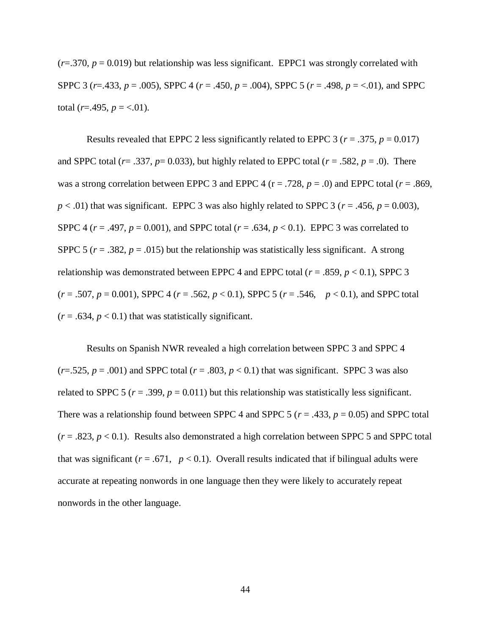$(r=0.370, p=0.019)$  but relationship was less significant. EPPC1 was strongly correlated with SPPC 3 (*r*=.433, *p* = .005), SPPC 4 (*r* = .450, *p* = .004), SPPC 5 (*r* = .498, *p* = <.01), and SPPC total ( $r = .495$ ,  $p = < .01$ ).

Results revealed that EPPC 2 less significantly related to EPPC 3 ( $r = .375$ ,  $p = 0.017$ ) and SPPC total ( $r = .337$ ,  $p = 0.033$ ), but highly related to EPPC total ( $r = .582$ ,  $p = .0$ ). There was a strong correlation between EPPC 3 and EPPC 4 ( $r = .728$ ,  $p = .0$ ) and EPPC total ( $r = .869$ ,  $p < .01$ ) that was significant. EPPC 3 was also highly related to SPPC 3 ( $r = .456$ ,  $p = 0.003$ ), SPPC 4 ( $r = .497$ ,  $p = 0.001$ ), and SPPC total ( $r = .634$ ,  $p < 0.1$ ). EPPC 3 was correlated to SPPC 5 ( $r = .382$ ,  $p = .015$ ) but the relationship was statistically less significant. A strong relationship was demonstrated between EPPC 4 and EPPC total ( $r = .859$ ,  $p < 0.1$ ), SPPC 3 (*r* = .507, *p* = 0.001), SPPC 4 (*r* = .562, *p* < 0.1), SPPC 5 (*r* = .546, *p* < 0.1), and SPPC total  $(r = .634, p < 0.1)$  that was statistically significant.

Results on Spanish NWR revealed a high correlation between SPPC 3 and SPPC 4  $(r=0.525, p=.001)$  and SPPC total  $(r=.803, p<0.1)$  that was significant. SPPC 3 was also related to SPPC 5 ( $r = .399$ ,  $p = 0.011$ ) but this relationship was statistically less significant. There was a relationship found between SPPC 4 and SPPC 5 ( $r = .433$ ,  $p = 0.05$ ) and SPPC total  $(r = .823, p < 0.1)$ . Results also demonstrated a high correlation between SPPC 5 and SPPC total that was significant ( $r = .671$ ,  $p < 0.1$ ). Overall results indicated that if bilingual adults were accurate at repeating nonwords in one language then they were likely to accurately repeat nonwords in the other language.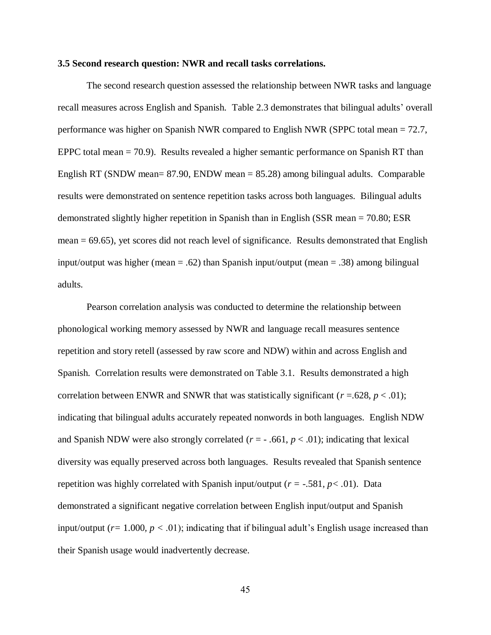### **3.5 Second research question: NWR and recall tasks correlations.**

The second research question assessed the relationship between NWR tasks and language recall measures across English and Spanish. Table 2.3 demonstrates that bilingual adults' overall performance was higher on Spanish NWR compared to English NWR (SPPC total mean = 72.7, EPPC total mean = 70.9). Results revealed a higher semantic performance on Spanish RT than English RT (SNDW mean= 87.90, ENDW mean = 85.28) among bilingual adults. Comparable results were demonstrated on sentence repetition tasks across both languages. Bilingual adults demonstrated slightly higher repetition in Spanish than in English (SSR mean = 70.80; ESR mean = 69.65), yet scores did not reach level of significance. Results demonstrated that English input/output was higher (mean = .62) than Spanish input/output (mean = .38) among bilingual adults.

Pearson correlation analysis was conducted to determine the relationship between phonological working memory assessed by NWR and language recall measures sentence repetition and story retell (assessed by raw score and NDW) within and across English and Spanish. Correlation results were demonstrated on Table 3.1. Results demonstrated a high correlation between ENWR and SNWR that was statistically significant ( $r = .628$ ,  $p < .01$ ); indicating that bilingual adults accurately repeated nonwords in both languages. English NDW and Spanish NDW were also strongly correlated  $(r = -0.661, p < 0.01)$ ; indicating that lexical diversity was equally preserved across both languages. Results revealed that Spanish sentence repetition was highly correlated with Spanish input/output (*r =* -.581*, p< .*01). Data demonstrated a significant negative correlation between English input/output and Spanish input/output (*r=* 1.000*, p <* .01); indicating that if bilingual adult's English usage increased than their Spanish usage would inadvertently decrease.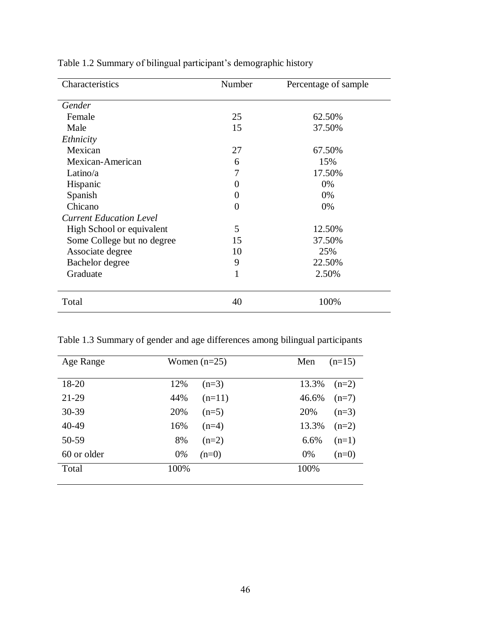| Characteristics                | Number   | Percentage of sample |
|--------------------------------|----------|----------------------|
| Gender                         |          |                      |
| Female                         | 25       | 62.50%               |
| Male                           | 15       | 37.50%               |
| Ethnicity                      |          |                      |
| Mexican                        | 27       | 67.50%               |
| Mexican-American               | 6        | 15%                  |
| Latino/ $a$                    | 7        | 17.50%               |
| Hispanic                       | $\theta$ | 0%                   |
| Spanish                        | 0        | 0%                   |
| Chicano                        | 0        | 0%                   |
| <b>Current Education Level</b> |          |                      |
| High School or equivalent      | 5        | 12.50%               |
| Some College but no degree     | 15       | 37.50%               |
| Associate degree               | 10       | 25%                  |
| Bachelor degree                | 9        | 22.50%               |
| Graduate                       | 1        | 2.50%                |
| Total                          | 40       | 100%                 |

Table 1.2 Summary of bilingual participant's demographic history

Table 1.3 Summary of gender and age differences among bilingual participants

| Age Range   | Women $(n=25)$   | $(n=15)$<br>Men  |
|-------------|------------------|------------------|
|             |                  |                  |
| 18-20       | 12%<br>$(n=3)$   | 13.3%<br>$(n=2)$ |
| $21-29$     | 44%<br>$(n=11)$  | 46.6%<br>$(n=7)$ |
| $30 - 39$   | 20%<br>$(n=5)$   | 20%<br>$(n=3)$   |
| 40-49       | 16%<br>$(n=4)$   | 13.3%<br>$(n=2)$ |
| 50-59       | 8%<br>$(n=2)$    | 6.6%<br>$(n=1)$  |
| 60 or older | $0\%$<br>$(n=0)$ | $0\%$<br>$(n=0)$ |
| Total       | 100%             | 100%             |
|             |                  |                  |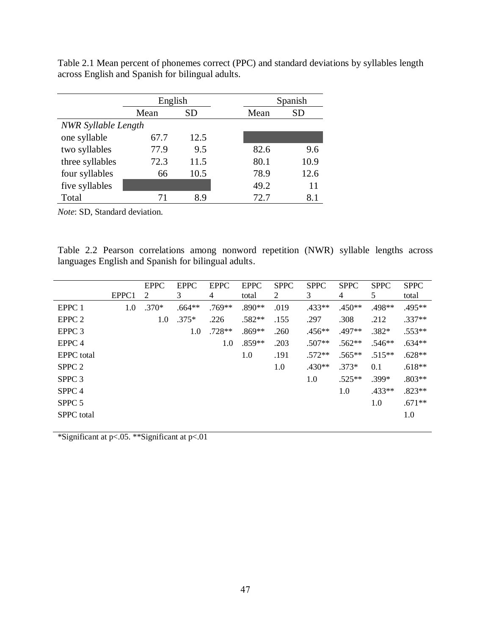|                            | English |      | Spanish |      |  |
|----------------------------|---------|------|---------|------|--|
|                            | Mean    | SD   | Mean    | SD   |  |
| <b>NWR</b> Syllable Length |         |      |         |      |  |
| one syllable               | 67.7    | 12.5 |         |      |  |
| two syllables              | 77.9    | 9.5  | 82.6    | 9.6  |  |
| three syllables            | 72.3    | 11.5 | 80.1    | 10.9 |  |
| four syllables             | 66      | 10.5 | 78.9    | 12.6 |  |
| five syllables             |         |      | 49.2    | 11   |  |
| Total                      | 71      | 8.9  | 72.7    | 8.1  |  |

Table 2.1 Mean percent of phonemes correct (PPC) and standard deviations by syllables length across English and Spanish for bilingual adults.

*Note*: SD, Standard deviation.

Table 2.2 Pearson correlations among nonword repetition (NWR) syllable lengths across languages English and Spanish for bilingual adults.

|                   |       | <b>EPPC</b> | <b>EPPC</b> | <b>EPPC</b> | <b>EPPC</b> | <b>SPPC</b> | <b>SPPC</b> | <b>SPPC</b> | <b>SPPC</b> | <b>SPPC</b> |
|-------------------|-------|-------------|-------------|-------------|-------------|-------------|-------------|-------------|-------------|-------------|
|                   | EPPC1 | 2           | 3           | 4           | total       | 2           | 3           | 4           | 5           | total       |
| EPPC 1            | 1.0   | $.370*$     | $.664**$    | $.769**$    | .890**      | .019        | $.433**$    | .450**      | .498**      | .495**      |
| EPPC <sub>2</sub> |       | 1.0         | $.375*$     | .226        | $.582**$    | .155        | .297        | .308        | .212        | $.337**$    |
| EPPC <sub>3</sub> |       |             | 1.0         | .728**      | $.869**$    | .260        | $.456**$    | .497**      | $.382*$     | $.553**$    |
| EPPC <sub>4</sub> |       |             |             | 1.0         | .859**      | .203        | $.507**$    | $.562**$    | $.546**$    | $.634**$    |
| <b>EPPC</b> total |       |             |             |             | 1.0         | .191        | $.572**$    | $.565**$    | $.515**$    | $.628**$    |
| SPPC <sub>2</sub> |       |             |             |             |             | 1.0         | .430**      | $.373*$     | 0.1         | $.618**$    |
| SPPC <sub>3</sub> |       |             |             |             |             |             | 1.0         | $.525**$    | $.399*$     | $.803**$    |
| SPPC <sub>4</sub> |       |             |             |             |             |             |             | 1.0         | $.433**$    | $.823**$    |
| SPPC <sub>5</sub> |       |             |             |             |             |             |             |             | 1.0         | $.671**$    |
| <b>SPPC</b> total |       |             |             |             |             |             |             |             |             | 1.0         |
|                   |       |             |             |             |             |             |             |             |             |             |

\*Significant at p<.05. \*\*Significant at p<.01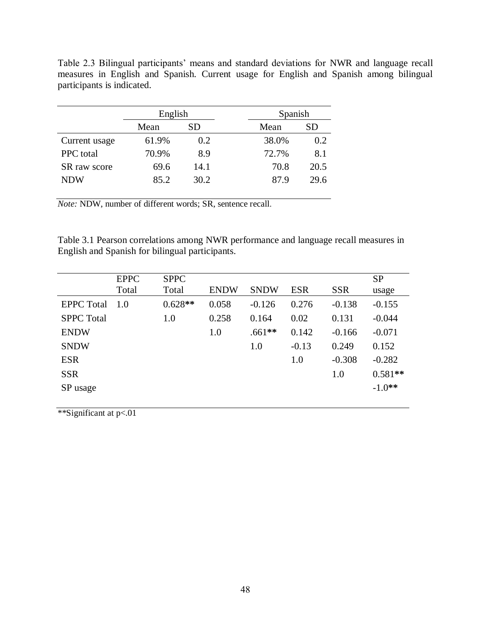| participants is indicated. |         |     |         |     |  |  |
|----------------------------|---------|-----|---------|-----|--|--|
|                            | English |     | Spanish |     |  |  |
|                            | Mean    | SD  | Mean    |     |  |  |
| Current usage              | 61.9%   | 0.2 | 38.0%   | 0.2 |  |  |

PPC total  $70.9\%$  8.9  $72.7\%$  8.1 SR raw score 69.6 14.1 70.8 20.5 NDW 85.2 30.2 87.9 29.6

Table 2.3 Bilingual participants' means and standard deviations for NWR and language recall measures in English and Spanish. Current usage for English and Spanish among bilingual participants is indicated.

*Note:* NDW, number of different words; SR, sentence recall.

Table 3.1 Pearson correlations among NWR performance and language recall measures in English and Spanish for bilingual participants.

|                   | <b>EPPC</b> | <b>SPPC</b> |             |             |            |            | <b>SP</b> |
|-------------------|-------------|-------------|-------------|-------------|------------|------------|-----------|
|                   | Total       | Total       | <b>ENDW</b> | <b>SNDW</b> | <b>ESR</b> | <b>SSR</b> | usage     |
| <b>EPPC</b> Total | 1.0         | $0.628**$   | 0.058       | $-0.126$    | 0.276      | $-0.138$   | $-0.155$  |
| <b>SPPC</b> Total |             | 1.0         | 0.258       | 0.164       | 0.02       | 0.131      | $-0.044$  |
| <b>ENDW</b>       |             |             | 1.0         | $.661**$    | 0.142      | $-0.166$   | $-0.071$  |
| <b>SNDW</b>       |             |             |             | 1.0         | $-0.13$    | 0.249      | 0.152     |
| <b>ESR</b>        |             |             |             |             | 1.0        | $-0.308$   | $-0.282$  |
| <b>SSR</b>        |             |             |             |             |            | 1.0        | $0.581**$ |
| SP usage          |             |             |             |             |            |            | $-1.0**$  |
|                   |             |             |             |             |            |            |           |

\*\*Significant at p<.01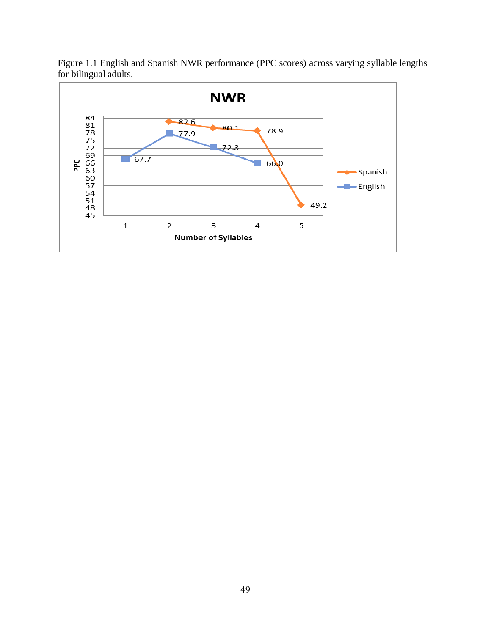

Figure 1.1 English and Spanish NWR performance (PPC scores) across varying syllable lengths for bilingual adults.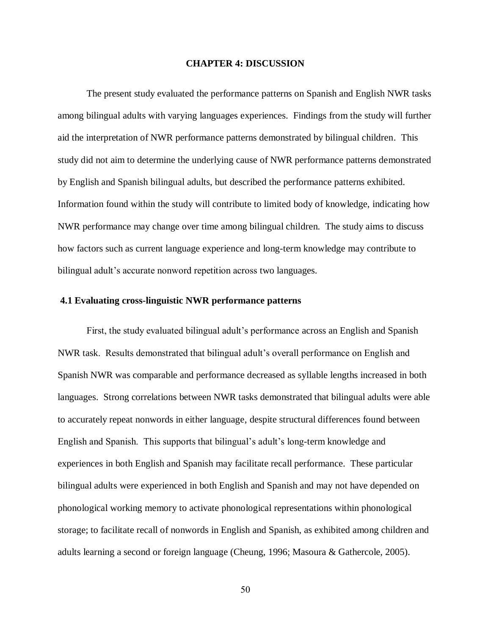#### **CHAPTER 4: DISCUSSION**

The present study evaluated the performance patterns on Spanish and English NWR tasks among bilingual adults with varying languages experiences. Findings from the study will further aid the interpretation of NWR performance patterns demonstrated by bilingual children. This study did not aim to determine the underlying cause of NWR performance patterns demonstrated by English and Spanish bilingual adults, but described the performance patterns exhibited. Information found within the study will contribute to limited body of knowledge, indicating how NWR performance may change over time among bilingual children. The study aims to discuss how factors such as current language experience and long-term knowledge may contribute to bilingual adult's accurate nonword repetition across two languages.

# **4.1 Evaluating cross-linguistic NWR performance patterns**

First, the study evaluated bilingual adult's performance across an English and Spanish NWR task. Results demonstrated that bilingual adult's overall performance on English and Spanish NWR was comparable and performance decreased as syllable lengths increased in both languages. Strong correlations between NWR tasks demonstrated that bilingual adults were able to accurately repeat nonwords in either language, despite structural differences found between English and Spanish. This supports that bilingual's adult's long-term knowledge and experiences in both English and Spanish may facilitate recall performance. These particular bilingual adults were experienced in both English and Spanish and may not have depended on phonological working memory to activate phonological representations within phonological storage; to facilitate recall of nonwords in English and Spanish, as exhibited among children and adults learning a second or foreign language (Cheung, 1996; Masoura & Gathercole, 2005).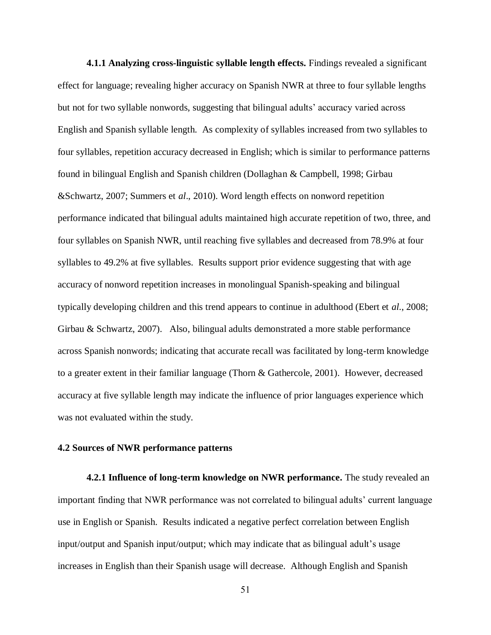**4.1.1 Analyzing cross-linguistic syllable length effects.** Findings revealed a significant effect for language; revealing higher accuracy on Spanish NWR at three to four syllable lengths but not for two syllable nonwords, suggesting that bilingual adults' accuracy varied across English and Spanish syllable length. As complexity of syllables increased from two syllables to four syllables, repetition accuracy decreased in English; which is similar to performance patterns found in bilingual English and Spanish children (Dollaghan & Campbell, 1998; Girbau &Schwartz, 2007; Summers et *al*., 2010). Word length effects on nonword repetition performance indicated that bilingual adults maintained high accurate repetition of two, three, and four syllables on Spanish NWR, until reaching five syllables and decreased from 78.9% at four syllables to 49.2% at five syllables. Results support prior evidence suggesting that with age accuracy of nonword repetition increases in monolingual Spanish-speaking and bilingual typically developing children and this trend appears to continue in adulthood (Ebert et *al*., 2008; Girbau & Schwartz, 2007). Also, bilingual adults demonstrated a more stable performance across Spanish nonwords; indicating that accurate recall was facilitated by long-term knowledge to a greater extent in their familiar language (Thorn & Gathercole, 2001). However, decreased accuracy at five syllable length may indicate the influence of prior languages experience which was not evaluated within the study.

### **4.2 Sources of NWR performance patterns**

**4.2.1 Influence of long-term knowledge on NWR performance.** The study revealed an important finding that NWR performance was not correlated to bilingual adults' current language use in English or Spanish. Results indicated a negative perfect correlation between English input/output and Spanish input/output; which may indicate that as bilingual adult's usage increases in English than their Spanish usage will decrease. Although English and Spanish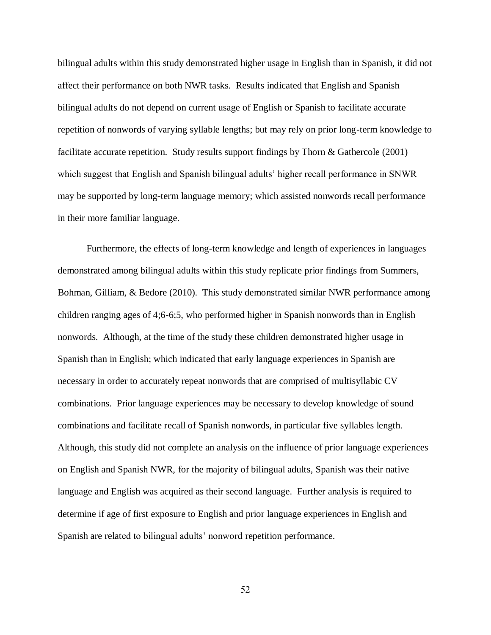bilingual adults within this study demonstrated higher usage in English than in Spanish, it did not affect their performance on both NWR tasks. Results indicated that English and Spanish bilingual adults do not depend on current usage of English or Spanish to facilitate accurate repetition of nonwords of varying syllable lengths; but may rely on prior long-term knowledge to facilitate accurate repetition. Study results support findings by Thorn & Gathercole (2001) which suggest that English and Spanish bilingual adults' higher recall performance in SNWR may be supported by long-term language memory; which assisted nonwords recall performance in their more familiar language.

Furthermore, the effects of long-term knowledge and length of experiences in languages demonstrated among bilingual adults within this study replicate prior findings from Summers, Bohman, Gilliam, & Bedore (2010). This study demonstrated similar NWR performance among children ranging ages of 4;6-6;5, who performed higher in Spanish nonwords than in English nonwords. Although, at the time of the study these children demonstrated higher usage in Spanish than in English; which indicated that early language experiences in Spanish are necessary in order to accurately repeat nonwords that are comprised of multisyllabic CV combinations. Prior language experiences may be necessary to develop knowledge of sound combinations and facilitate recall of Spanish nonwords, in particular five syllables length. Although, this study did not complete an analysis on the influence of prior language experiences on English and Spanish NWR, for the majority of bilingual adults, Spanish was their native language and English was acquired as their second language. Further analysis is required to determine if age of first exposure to English and prior language experiences in English and Spanish are related to bilingual adults' nonword repetition performance.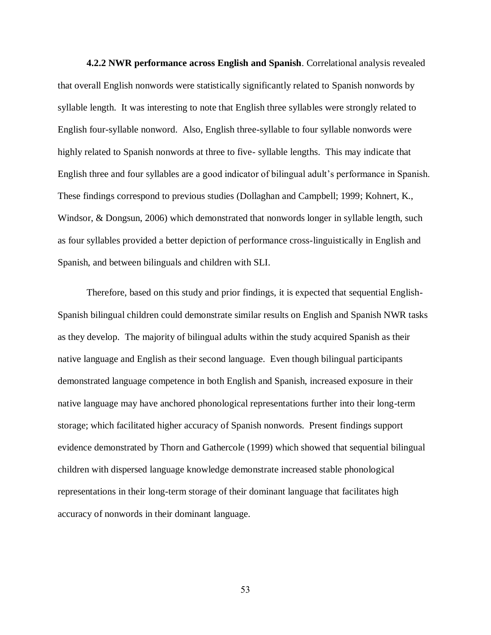**4.2.2 NWR performance across English and Spanish**. Correlational analysis revealed that overall English nonwords were statistically significantly related to Spanish nonwords by syllable length. It was interesting to note that English three syllables were strongly related to English four-syllable nonword. Also, English three-syllable to four syllable nonwords were highly related to Spanish nonwords at three to five- syllable lengths. This may indicate that English three and four syllables are a good indicator of bilingual adult's performance in Spanish. These findings correspond to previous studies (Dollaghan and Campbell; 1999; Kohnert, K., Windsor, & Dongsun, 2006) which demonstrated that nonwords longer in syllable length, such as four syllables provided a better depiction of performance cross-linguistically in English and Spanish, and between bilinguals and children with SLI.

Therefore, based on this study and prior findings, it is expected that sequential English-Spanish bilingual children could demonstrate similar results on English and Spanish NWR tasks as they develop. The majority of bilingual adults within the study acquired Spanish as their native language and English as their second language. Even though bilingual participants demonstrated language competence in both English and Spanish, increased exposure in their native language may have anchored phonological representations further into their long-term storage; which facilitated higher accuracy of Spanish nonwords. Present findings support evidence demonstrated by Thorn and Gathercole (1999) which showed that sequential bilingual children with dispersed language knowledge demonstrate increased stable phonological representations in their long-term storage of their dominant language that facilitates high accuracy of nonwords in their dominant language.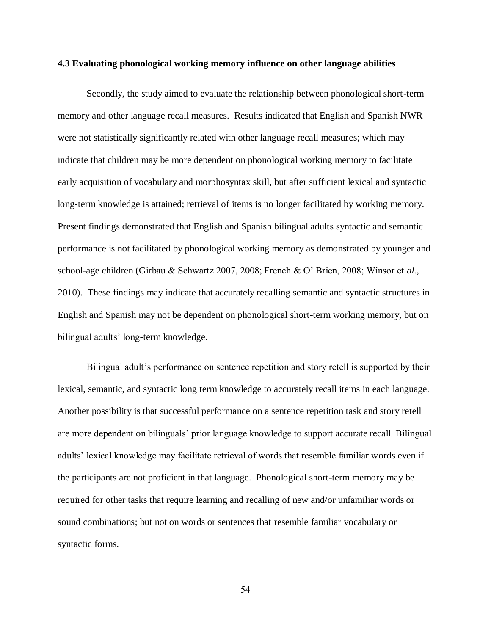#### **4.3 Evaluating phonological working memory influence on other language abilities**

Secondly, the study aimed to evaluate the relationship between phonological short-term memory and other language recall measures. Results indicated that English and Spanish NWR were not statistically significantly related with other language recall measures; which may indicate that children may be more dependent on phonological working memory to facilitate early acquisition of vocabulary and morphosyntax skill, but after sufficient lexical and syntactic long-term knowledge is attained; retrieval of items is no longer facilitated by working memory. Present findings demonstrated that English and Spanish bilingual adults syntactic and semantic performance is not facilitated by phonological working memory as demonstrated by younger and school-age children (Girbau & Schwartz 2007, 2008; French & O' Brien, 2008; Winsor et *al.*, 2010). These findings may indicate that accurately recalling semantic and syntactic structures in English and Spanish may not be dependent on phonological short-term working memory, but on bilingual adults' long-term knowledge.

Bilingual adult's performance on sentence repetition and story retell is supported by their lexical, semantic, and syntactic long term knowledge to accurately recall items in each language. Another possibility is that successful performance on a sentence repetition task and story retell are more dependent on bilinguals' prior language knowledge to support accurate recall. Bilingual adults' lexical knowledge may facilitate retrieval of words that resemble familiar words even if the participants are not proficient in that language. Phonological short-term memory may be required for other tasks that require learning and recalling of new and/or unfamiliar words or sound combinations; but not on words or sentences that resemble familiar vocabulary or syntactic forms.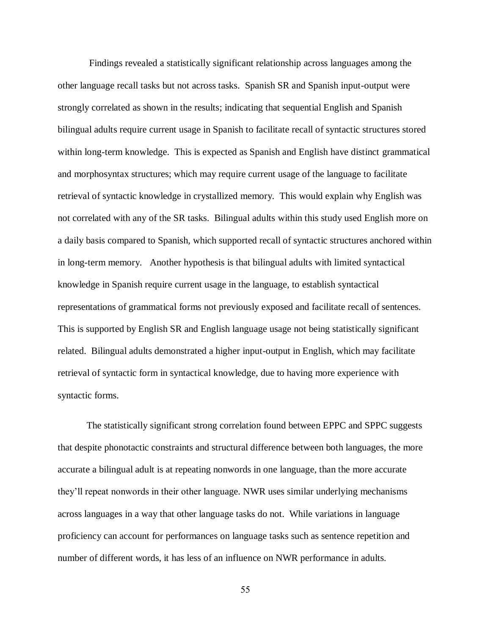Findings revealed a statistically significant relationship across languages among the other language recall tasks but not across tasks. Spanish SR and Spanish input-output were strongly correlated as shown in the results; indicating that sequential English and Spanish bilingual adults require current usage in Spanish to facilitate recall of syntactic structures stored within long-term knowledge. This is expected as Spanish and English have distinct grammatical and morphosyntax structures; which may require current usage of the language to facilitate retrieval of syntactic knowledge in crystallized memory. This would explain why English was not correlated with any of the SR tasks. Bilingual adults within this study used English more on a daily basis compared to Spanish, which supported recall of syntactic structures anchored within in long-term memory. Another hypothesis is that bilingual adults with limited syntactical knowledge in Spanish require current usage in the language, to establish syntactical representations of grammatical forms not previously exposed and facilitate recall of sentences. This is supported by English SR and English language usage not being statistically significant related. Bilingual adults demonstrated a higher input-output in English, which may facilitate retrieval of syntactic form in syntactical knowledge, due to having more experience with syntactic forms.

The statistically significant strong correlation found between EPPC and SPPC suggests that despite phonotactic constraints and structural difference between both languages, the more accurate a bilingual adult is at repeating nonwords in one language, than the more accurate they'll repeat nonwords in their other language. NWR uses similar underlying mechanisms across languages in a way that other language tasks do not. While variations in language proficiency can account for performances on language tasks such as sentence repetition and number of different words, it has less of an influence on NWR performance in adults.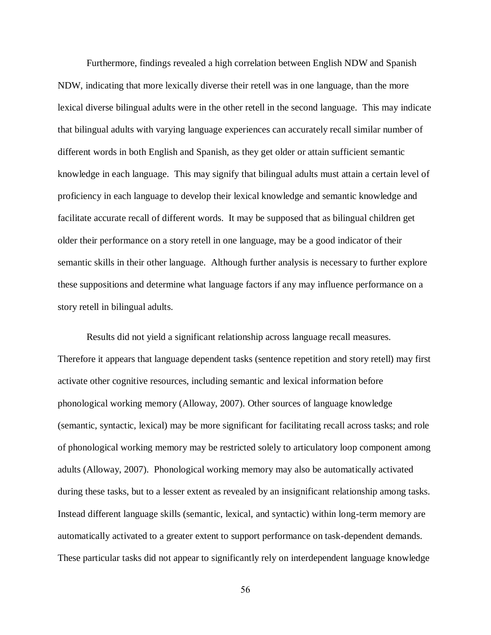Furthermore, findings revealed a high correlation between English NDW and Spanish NDW, indicating that more lexically diverse their retell was in one language, than the more lexical diverse bilingual adults were in the other retell in the second language. This may indicate that bilingual adults with varying language experiences can accurately recall similar number of different words in both English and Spanish, as they get older or attain sufficient semantic knowledge in each language. This may signify that bilingual adults must attain a certain level of proficiency in each language to develop their lexical knowledge and semantic knowledge and facilitate accurate recall of different words. It may be supposed that as bilingual children get older their performance on a story retell in one language, may be a good indicator of their semantic skills in their other language. Although further analysis is necessary to further explore these suppositions and determine what language factors if any may influence performance on a story retell in bilingual adults.

Results did not yield a significant relationship across language recall measures. Therefore it appears that language dependent tasks (sentence repetition and story retell) may first activate other cognitive resources, including semantic and lexical information before phonological working memory (Alloway, 2007). Other sources of language knowledge (semantic, syntactic, lexical) may be more significant for facilitating recall across tasks; and role of phonological working memory may be restricted solely to articulatory loop component among adults (Alloway, 2007). Phonological working memory may also be automatically activated during these tasks, but to a lesser extent as revealed by an insignificant relationship among tasks. Instead different language skills (semantic, lexical, and syntactic) within long-term memory are automatically activated to a greater extent to support performance on task-dependent demands. These particular tasks did not appear to significantly rely on interdependent language knowledge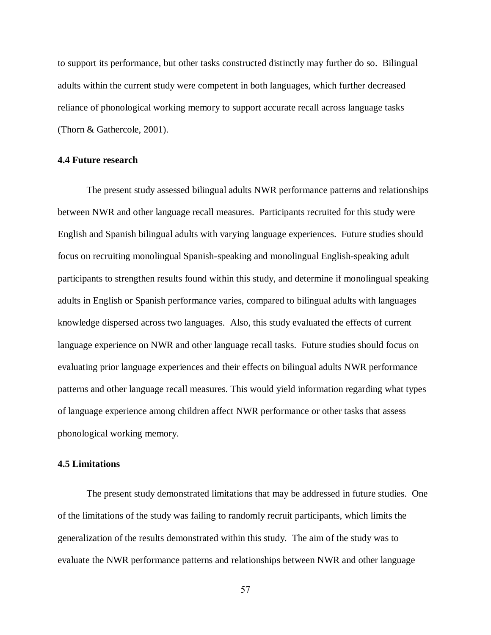to support its performance, but other tasks constructed distinctly may further do so. Bilingual adults within the current study were competent in both languages, which further decreased reliance of phonological working memory to support accurate recall across language tasks (Thorn & Gathercole, 2001).

### **4.4 Future research**

The present study assessed bilingual adults NWR performance patterns and relationships between NWR and other language recall measures. Participants recruited for this study were English and Spanish bilingual adults with varying language experiences. Future studies should focus on recruiting monolingual Spanish-speaking and monolingual English-speaking adult participants to strengthen results found within this study, and determine if monolingual speaking adults in English or Spanish performance varies, compared to bilingual adults with languages knowledge dispersed across two languages. Also, this study evaluated the effects of current language experience on NWR and other language recall tasks. Future studies should focus on evaluating prior language experiences and their effects on bilingual adults NWR performance patterns and other language recall measures. This would yield information regarding what types of language experience among children affect NWR performance or other tasks that assess phonological working memory.

# **4.5 Limitations**

The present study demonstrated limitations that may be addressed in future studies. One of the limitations of the study was failing to randomly recruit participants, which limits the generalization of the results demonstrated within this study. The aim of the study was to evaluate the NWR performance patterns and relationships between NWR and other language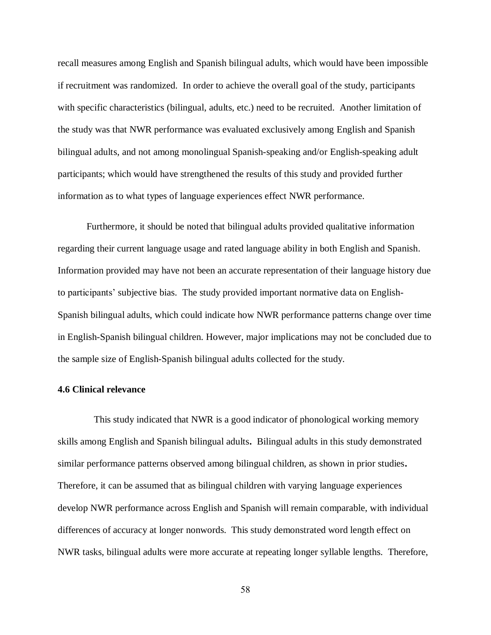recall measures among English and Spanish bilingual adults, which would have been impossible if recruitment was randomized. In order to achieve the overall goal of the study, participants with specific characteristics (bilingual, adults, etc.) need to be recruited. Another limitation of the study was that NWR performance was evaluated exclusively among English and Spanish bilingual adults, and not among monolingual Spanish-speaking and/or English-speaking adult participants; which would have strengthened the results of this study and provided further information as to what types of language experiences effect NWR performance.

Furthermore, it should be noted that bilingual adults provided qualitative information regarding their current language usage and rated language ability in both English and Spanish. Information provided may have not been an accurate representation of their language history due to participants' subjective bias. The study provided important normative data on English-Spanish bilingual adults, which could indicate how NWR performance patterns change over time in English-Spanish bilingual children. However, major implications may not be concluded due to the sample size of English-Spanish bilingual adults collected for the study.

### **4.6 Clinical relevance**

 This study indicated that NWR is a good indicator of phonological working memory skills among English and Spanish bilingual adults**.** Bilingual adults in this study demonstrated similar performance patterns observed among bilingual children, as shown in prior studies**.**  Therefore, it can be assumed that as bilingual children with varying language experiences develop NWR performance across English and Spanish will remain comparable, with individual differences of accuracy at longer nonwords. This study demonstrated word length effect on NWR tasks, bilingual adults were more accurate at repeating longer syllable lengths. Therefore,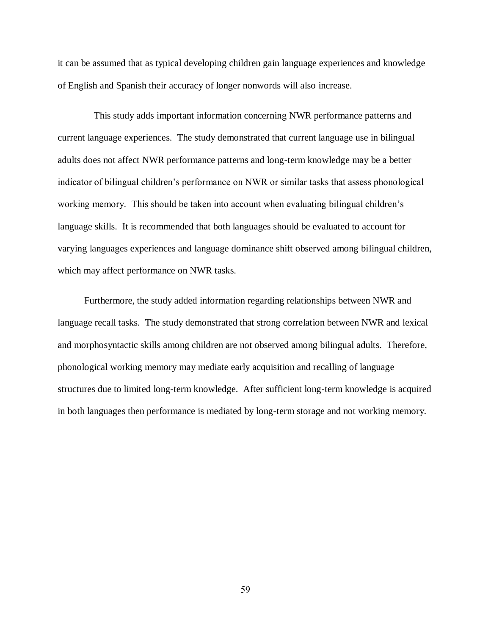it can be assumed that as typical developing children gain language experiences and knowledge of English and Spanish their accuracy of longer nonwords will also increase.

 This study adds important information concerning NWR performance patterns and current language experiences. The study demonstrated that current language use in bilingual adults does not affect NWR performance patterns and long-term knowledge may be a better indicator of bilingual children's performance on NWR or similar tasks that assess phonological working memory. This should be taken into account when evaluating bilingual children's language skills. It is recommended that both languages should be evaluated to account for varying languages experiences and language dominance shift observed among bilingual children, which may affect performance on NWR tasks.

 Furthermore, the study added information regarding relationships between NWR and language recall tasks. The study demonstrated that strong correlation between NWR and lexical and morphosyntactic skills among children are not observed among bilingual adults. Therefore, phonological working memory may mediate early acquisition and recalling of language structures due to limited long-term knowledge. After sufficient long-term knowledge is acquired in both languages then performance is mediated by long-term storage and not working memory.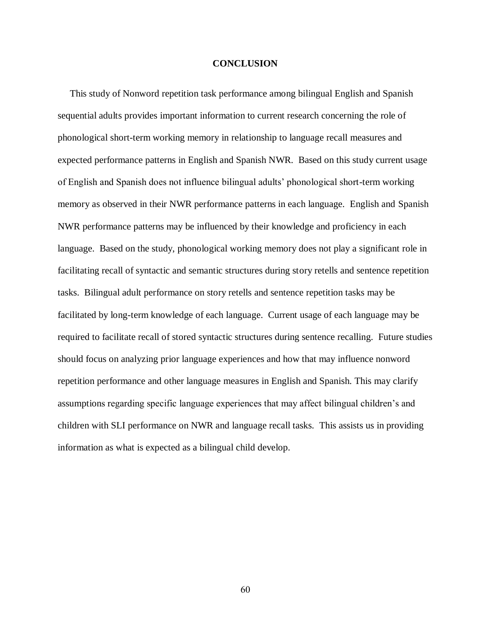# **CONCLUSION**

 This study of Nonword repetition task performance among bilingual English and Spanish sequential adults provides important information to current research concerning the role of phonological short-term working memory in relationship to language recall measures and expected performance patterns in English and Spanish NWR. Based on this study current usage of English and Spanish does not influence bilingual adults' phonological short-term working memory as observed in their NWR performance patterns in each language. English and Spanish NWR performance patterns may be influenced by their knowledge and proficiency in each language. Based on the study, phonological working memory does not play a significant role in facilitating recall of syntactic and semantic structures during story retells and sentence repetition tasks. Bilingual adult performance on story retells and sentence repetition tasks may be facilitated by long-term knowledge of each language. Current usage of each language may be required to facilitate recall of stored syntactic structures during sentence recalling. Future studies should focus on analyzing prior language experiences and how that may influence nonword repetition performance and other language measures in English and Spanish. This may clarify assumptions regarding specific language experiences that may affect bilingual children's and children with SLI performance on NWR and language recall tasks. This assists us in providing information as what is expected as a bilingual child develop.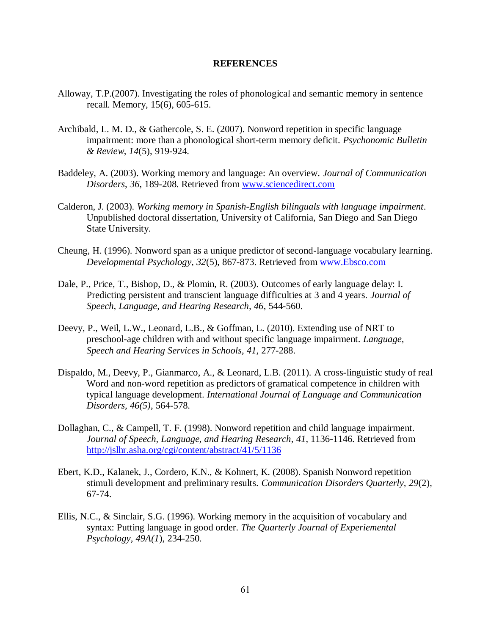# **REFERENCES**

- Alloway, T.P.(2007). Investigating the roles of phonological and semantic memory in sentence recall. Memory, 15(6), 605-615.
- Archibald, L. M. D., & Gathercole, S. E. (2007). Nonword repetition in specific language impairment: more than a phonological short-term memory deficit. *Psychonomic Bulletin & Review*, *14*(5), 919-924.
- Baddeley, A. (2003). Working memory and language: An overview. *Journal of Communication Disorders*, *36*, 189-208. Retrieved from [www.sciencedirect.com](http://www.sciencedirect.com/)
- Calderon, J. (2003). *Working memory in Spanish-English bilinguals with language impairment*. Unpublished doctoral dissertation, University of California, San Diego and San Diego State University.
- Cheung, H. (1996). Nonword span as a unique predictor of second-language vocabulary learning. *Developmental Psychology, 32*(5), 867-873. Retrieved from [www.Ebsco.com](http://www.ebsco.com/)
- Dale, P., Price, T., Bishop, D., & Plomin, R. (2003). Outcomes of early language delay: I. Predicting persistent and transcient language difficulties at 3 and 4 years. *Journal of Speech, Language, and Hearing Research, 46*, 544-560.
- Deevy, P., Weil, L.W., Leonard, L.B., & Goffman, L. (2010). Extending use of NRT to preschool-age children with and without specific language impairment. *Language, Speech and Hearing Services in Schools*, *41*, 277-288.
- Dispaldo, M., Deevy, P., Gianmarco, A., & Leonard, L.B. (2011). A cross-linguistic study of real Word and non-word repetition as predictors of gramatical competence in children with typical language development. *International Journal of Language and Communication Disorders, 46(5)*, 564-578.
- Dollaghan, C., & Campell, T. F. (1998). Nonword repetition and child language impairment. *Journal of Speech, Language, and Hearing Research*, *41*, 1136-1146. Retrieved from <http://jslhr.asha.org/cgi/content/abstract/41/5/1136>
- Ebert, K.D., Kalanek, J., Cordero, K.N., & Kohnert, K. (2008). Spanish Nonword repetition stimuli development and preliminary results. *Communication Disorders Quarterly, 29*(2), 67-74.
- Ellis, N.C., & Sinclair, S.G. (1996). Working memory in the acquisition of vocabulary and syntax: Putting language in good order. *The Quarterly Journal of Experiemental Psychology, 49A(1*), 234-250.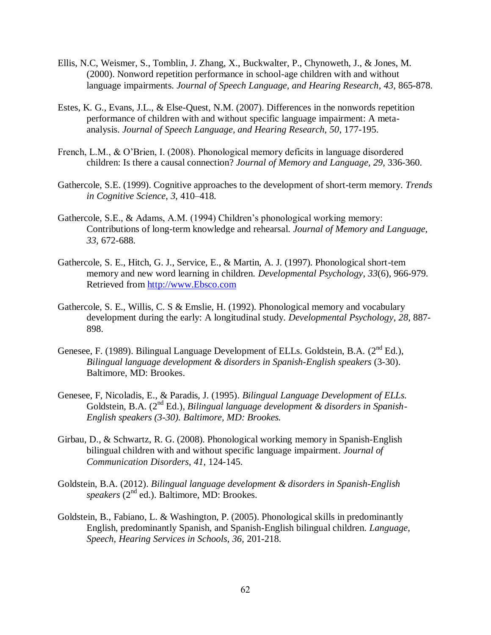- Ellis, N.C, Weismer, S., Tomblin, J. Zhang, X., Buckwalter, P., Chynoweth, J., & Jones, M. (2000). Nonword repetition performance in school-age children with and without language impairments. *Journal of Speech Language, and Hearing Research*, *43*, 865-878.
- Estes, K. G., Evans, J.L., & Else-Quest, N.M. (2007). Differences in the nonwords repetition performance of children with and without specific language impairment: A metaanalysis. *Journal of Speech Language, and Hearing Research, 50*, 177-195.
- French, L.M., & O'Brien, I. (2008). Phonological memory deficits in language disordered children: Is there a causal connection? *Journal of Memory and Language, 29*, 336-360.
- Gathercole, S.E. (1999). Cognitive approaches to the development of short-term memory. *Trends in Cognitive Science*, *3*, 410–418.
- Gathercole, S.E., & Adams, A.M. (1994) Children's phonological working memory: Contributions of long-term knowledge and rehearsal. *Journal of Memory and Language, 33*, 672-688.
- Gathercole, S. E., Hitch, G. J., Service, E., & Martin, A. J. (1997). Phonological short-tem memory and new word learning in children. *Developmental Psychology*, *33*(6), 966-979. Retrieved from [http://www.Ebsco.com](http://www.ebsco.com/)
- Gathercole, S. E., Willis, C. S & Emslie, H. (1992). Phonological memory and vocabulary development during the early: A longitudinal study. *Developmental Psychology*, *28*, 887- 898.
- Genesee, F. (1989). Bilingual Language Development of ELLs. Goldstein, B.A. ( $2<sup>nd</sup> Ed$ .), *Bilingual language development & disorders in Spanish-English speakers* (3-30). Baltimore, MD: Brookes.
- Genesee, F, Nicoladis, E., & Paradis, J. (1995)*. Bilingual Language Development of ELLs.*  Goldstein, B.A. (2nd Ed.)*, Bilingual language development & disorders in Spanish-English speakers (3-30). Baltimore, MD: Brookes.*
- Girbau, D., & Schwartz, R. G. (2008). Phonological working memory in Spanish-English bilingual children with and without specific language impairment. *Journal of Communication Disorders*, *41*, 124-145.
- Goldstein, B.A. (2012). *Bilingual language development & disorders in Spanish-English speakers* (2<sup>nd</sup> ed.). Baltimore, MD: Brookes.
- Goldstein, B., Fabiano, L. & Washington, P. (2005). Phonological skills in predominantly English, predominantly Spanish, and Spanish-English bilingual children. *Language, Speech, Hearing Services in Schools, 36,* 201-218.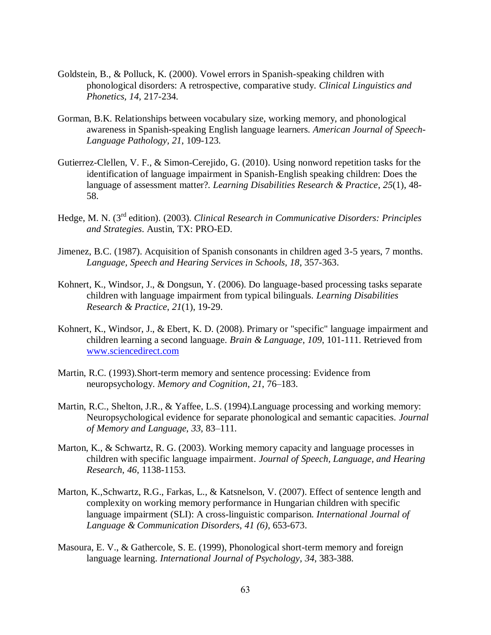- Goldstein, B., & Polluck, K. (2000). Vowel errors in Spanish-speaking children with phonological disorders: A retrospective, comparative study. *Clinical Linguistics and Phonetics, 14,* 217-234.
- Gorman, B.K. Relationships between vocabulary size, working memory, and phonological awareness in Spanish-speaking English language learners. *American Journal of Speech-Language Pathology, 21*, 109-123.
- Gutierrez-Clellen, V. F., & Simon-Cerejido, G. (2010). Using nonword repetition tasks for the identification of language impairment in Spanish-English speaking children: Does the language of assessment matter?. *Learning Disabilities Research & Practice*, *25*(1), 48- 58.
- Hedge, M. N. (3rd edition). (2003). *Clinical Research in Communicative Disorders: Principles and Strategies*. Austin, TX: PRO-ED.
- Jimenez, B.C. (1987). Acquisition of Spanish consonants in children aged 3-5 years, 7 months. *Language, Speech and Hearing Services in Schools, 18*, 357-363.
- Kohnert, K., Windsor, J., & Dongsun, Y. (2006). Do language-based processing tasks separate children with language impairment from typical bilinguals. *Learning Disabilities Research & Practice*, *21*(1), 19-29.
- Kohnert, K., Windsor, J., & Ebert, K. D. (2008). Primary or "specific" language impairment and children learning a second language. *Brain & Language*, *109*, 101-111. Retrieved from [www.sciencedirect.com](http://www.sciencedirect.com/)
- Martin, R.C. (1993).Short-term memory and sentence processing: Evidence from neuropsychology. *Memory and Cognition*, *21*, 76–183.
- Martin, R.C., Shelton, J.R., & Yaffee, L.S. (1994).Language processing and working memory: Neuropsychological evidence for separate phonological and semantic capacities. *Journal of Memory and Language*, *33*, 83–111.
- Marton, K., & Schwartz, R. G. (2003). Working memory capacity and language processes in children with specific language impairment. *Journal of Speech, Language, and Hearing Research*, *46*, 1138-1153.
- Marton, K.,Schwartz, R.G., Farkas, L., & Katsnelson, V. (2007). Effect of sentence length and complexity on working memory performance in Hungarian children with specific language impairment (SLI): A cross-linguistic comparison. *International Journal of Language & Communication Disorders*, *41 (6),* 653-673.
- Masoura, E. V., & Gathercole, S. E. (1999), Phonological short-term memory and foreign language learning. *International Journal of Psychology*, *34*, 383-388.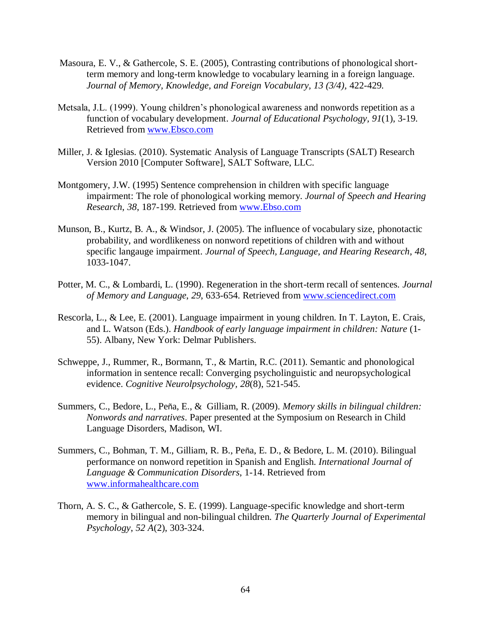- Masoura, E. V., & Gathercole, S. E. (2005), Contrasting contributions of phonological shortterm memory and long-term knowledge to vocabulary learning in a foreign language. *Journal of Memory, Knowledge, and Foreign Vocabulary, 13 (3/4),* 422-429.
- Metsala, J.L. (1999). Young children's phonological awareness and nonwords repetition as a function of vocabulary development. *Journal of Educational Psychology, 91*(1), 3-19. Retrieved from [www.Ebsco.com](http://www.ebsco.com/)
- Miller, J. & Iglesias. (2010). Systematic Analysis of Language Transcripts (SALT) Research Version 2010 [Computer Software], SALT Software, LLC.
- Montgomery, J.W. (1995) Sentence comprehension in children with specific language impairment: The role of phonological working memory. *Journal of Speech and Hearing Research*, *38*, 187-199. Retrieved from [www.Ebso.com](http://www.ebso.com/)
- Munson, B., Kurtz, B. A., & Windsor, J. (2005). The influence of vocabulary size, phonotactic probability, and wordlikeness on nonword repetitions of children with and without specific langauge impairment. *Journal of Speech, Language, and Hearing Research*, *48*, 1033-1047.
- Potter, M. C., & Lombardi, L. (1990). Regeneration in the short-term recall of sentences. *Journal of Memory and Language*, *29*, 633-654. Retrieved from [www.sciencedirect.com](http://www.sciencedirect.com/)
- Rescorla, L., & Lee, E. (2001). Language impairment in young children. In T. Layton, E. Crais, and L. Watson (Eds.). *Handbook of early language impairment in children: Nature* (1- 55). Albany, New York: Delmar Publishers.
- Schweppe, J., Rummer, R., Bormann, T., & Martin, R.C. (2011). Semantic and phonological information in sentence recall: Converging psycholinguistic and neuropsychological evidence. *Cognitive Neurolpsychology, 28*(8), 521-545.
- Summers, C., Bedore, L., Peña, E., & Gilliam, R. (2009). *Memory skills in bilingual children: Nonwords and narratives*. Paper presented at the Symposium on Research in Child Language Disorders, Madison, WI.
- Summers, C., Bohman, T. M., Gilliam, R. B., Peña, E. D., & Bedore, L. M. (2010). Bilingual performance on nonword repetition in Spanish and English. *International Journal of Language & Communication Disorders*, 1-14. Retrieved from [www.informahealthcare.com](http://www.informahealthcare.com/)
- Thorn, A. S. C., & Gathercole, S. E. (1999). Language-specific knowledge and short-term memory in bilingual and non-bilingual children. *The Quarterly Journal of Experimental Psychology*, *52 A*(2), 303-324.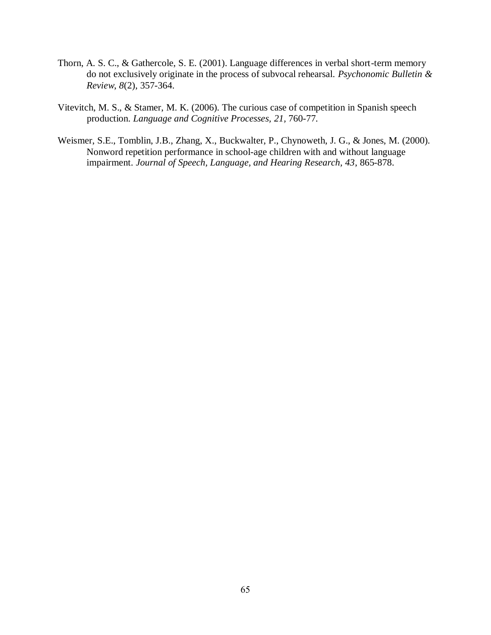- Thorn, A. S. C., & Gathercole, S. E. (2001). Language differences in verbal short-term memory do not exclusively originate in the process of subvocal rehearsal. *Psychonomic Bulletin & Review*, *8*(2), 357-364.
- Vitevitch, M. S., & Stamer, M. K. (2006). The curious case of competition in Spanish speech production. *Language and Cognitive Processes, 21,* 760-77*.*
- Weismer, S.E., Tomblin, J.B., Zhang, X., Buckwalter, P., Chynoweth, J. G., & Jones, M. (2000). Nonword repetition performance in school-age children with and without language impairment. *Journal of Speech, Language, and Hearing Research, 43*, 865-878.